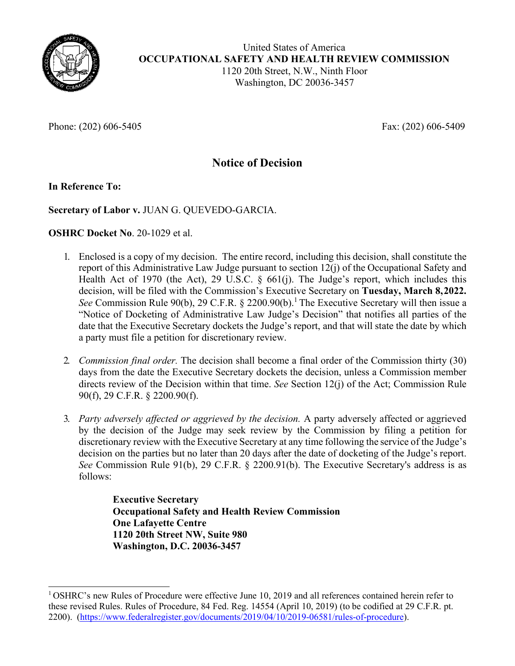

Phone: (202) 606-5405 Fax: (202) 606-5409

# **Notice of Decision**

# **In Reference To:**

# **Secretary of Labor v.** JUAN G. QUEVEDO-GARCIA.

# **OSHRC Docket No**. 20-1029 et al.

- 1. Enclosed is a copy of my decision. The entire record, including this decision, shall constitute the report of this Administrative Law Judge pursuant to section 12(j) of the Occupational Safety and Health Act of 1970 (the Act), 29 U.S.C. § 661(j). The Judge's report, which includes this decision, will be filed with the Commission's Executive Secretary on **Tuesday, March 8,2022.**  See Commission Rule 90(b), 29 C.F.R. § 2200.90(b).<sup>[1](#page-0-0)</sup> The Executive Secretary will then issue a "Notice of Docketing of Administrative Law Judge's Decision" that notifies all parties of the date that the Executive Secretary dockets the Judge's report, and that will state the date by which a party must file a petition for discretionary review.
- 2. *Commission final order.* The decision shall become a final order of the Commission thirty (30) days from the date the Executive Secretary dockets the decision, unless a Commission member directs review of the Decision within that time. *See* Section 12(j) of the Act; Commission Rule 90(f), 29 C.F.R. § 2200.90(f).
- 3. *Party adversely affected or aggrieved by the decision.* A party adversely affected or aggrieved by the decision of the Judge may seek review by the Commission by filing a petition for discretionary review with the Executive Secretary at any time following the service of the Judge's decision on the parties but no later than 20 days after the date of docketing of the Judge's report. *See* Commission Rule 91(b), 29 C.F.R. § 2200.91(b). The Executive Secretary's address is as follows:

**Executive Secretary Occupational Safety and Health Review Commission One Lafayette Centre 1120 20th Street NW, Suite 980 Washington, D.C. 20036-3457**

<span id="page-0-0"></span> $1$  OSHRC's new Rules of Procedure were effective June 10, 2019 and all references contained herein refer to these revised Rules. Rules of Procedure, 84 Fed. Reg. 14554 (April 10, 2019) (to be codified at 29 C.F.R. pt. 2200). [\(https://www.federalregister.gov/documents/2019/04/10/2019-06581/rules-of-procedure\)](https://www.federalregister.gov/documents/2019/04/10/2019-06581/rules-of-procedure).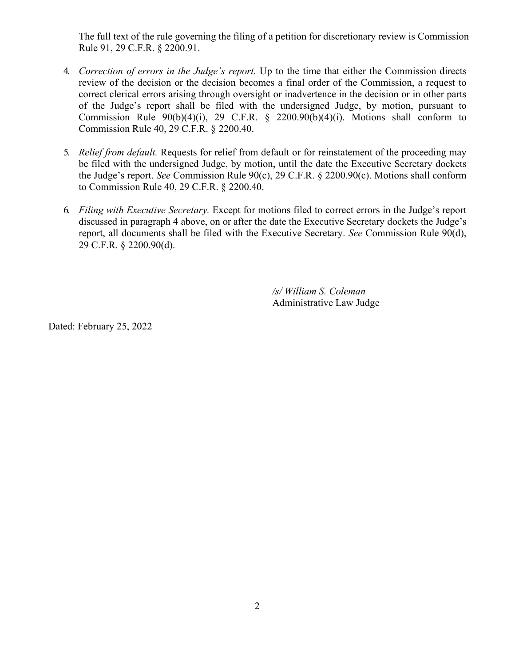The full text of the rule governing the filing of a petition for discretionary review is Commission Rule 91, 29 C.F.R. § 2200.91.

- 4. *Correction of errors in the Judge's report.* Up to the time that either the Commission directs review of the decision or the decision becomes a final order of the Commission, a request to correct clerical errors arising through oversight or inadvertence in the decision or in other parts of the Judge's report shall be filed with the undersigned Judge, by motion, pursuant to Commission Rule  $90(b)(4)(i)$ , 29 C.F.R. § 2200.90(b)(4)(i). Motions shall conform to Commission Rule 40, 29 C.F.R. § 2200.40.
- 5. *Relief from default.* Requests for relief from default or for reinstatement of the proceeding may be filed with the undersigned Judge, by motion, until the date the Executive Secretary dockets the Judge's report. *See* Commission Rule 90(c), 29 C.F.R. § 2200.90(c). Motions shall conform to Commission Rule 40, 29 C.F.R. § 2200.40.
- 6. *Filing with Executive Secretary.* Except for motions filed to correct errors in the Judge's report discussed in paragraph 4 above, on or after the date the Executive Secretary dockets the Judge's report, all documents shall be filed with the Executive Secretary. *See* Commission Rule 90(d), 29 C.F.R. § 2200.90(d).

*/s/ William S. Coleman* Administrative Law Judge

Dated: February 25, 2022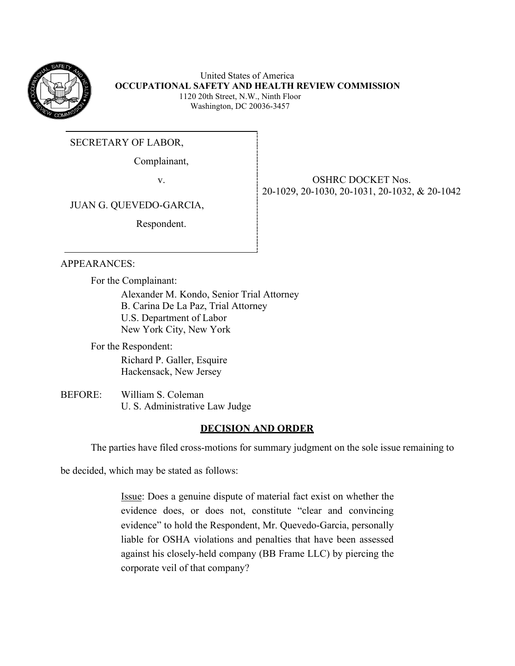

United States of America **OCCUPATIONAL SAFETY AND HEALTH REVIEW COMMISSION** 1120 20th Street, N.W., Ninth Floor Washington, DC 20036-3457

SECRETARY OF LABOR,

Complainant,

v. STREET Nos. SERVER OSHRC DOCKET Nos. 20-1029, 20-1030, 20-1031, 20-1032, & 20-1042

JUAN G. QUEVEDO-GARCIA,

Respondent.

# APPEARANCES:

For the Complainant:

Alexander M. Kondo, Senior Trial Attorney B. Carina De La Paz, Trial Attorney U.S. Department of Labor New York City, New York

For the Respondent: Richard P. Galler, Esquire Hackensack, New Jersey

BEFORE: William S. Coleman U. S. Administrative Law Judge

# **DECISION AND ORDER**

The parties have filed cross-motions for summary judgment on the sole issue remaining to

be decided, which may be stated as follows:

Issue: Does a genuine dispute of material fact exist on whether the evidence does, or does not, constitute "clear and convincing evidence" to hold the Respondent, Mr. Quevedo-Garcia, personally liable for OSHA violations and penalties that have been assessed against his closely-held company (BB Frame LLC) by piercing the corporate veil of that company?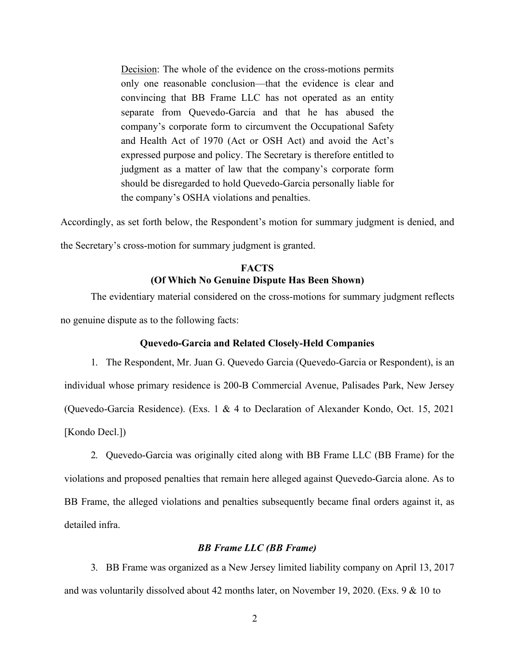Decision: The whole of the evidence on the cross-motions permits only one reasonable conclusion––that the evidence is clear and convincing that BB Frame LLC has not operated as an entity separate from Quevedo-Garcia and that he has abused the company's corporate form to circumvent the Occupational Safety and Health Act of 1970 (Act or OSH Act) and avoid the Act's expressed purpose and policy. The Secretary is therefore entitled to judgment as a matter of law that the company's corporate form should be disregarded to hold Quevedo-Garcia personally liable for the company's OSHA violations and penalties.

Accordingly, as set forth below, the Respondent's motion for summary judgment is denied, and the Secretary's cross-motion for summary judgment is granted.

# **FACTS (Of Which No Genuine Dispute Has Been Shown)**

The evidentiary material considered on the cross-motions for summary judgment reflects no genuine dispute as to the following facts:

### **Quevedo-Garcia and Related Closely-Held Companies**

1. The Respondent, Mr. Juan G. Quevedo Garcia (Quevedo-Garcia or Respondent), is an individual whose primary residence is 200-B Commercial Avenue, Palisades Park, New Jersey (Quevedo-Garcia Residence). (Exs. 1 & 4 to Declaration of Alexander Kondo, Oct. 15, 2021 [Kondo Decl.])

2. Quevedo-Garcia was originally cited along with BB Frame LLC (BB Frame) for the violations and proposed penalties that remain here alleged against Quevedo-Garcia alone. As to BB Frame, the alleged violations and penalties subsequently became final orders against it, as detailed infra.

### *BB Frame LLC (BB Frame)*

3. BB Frame was organized as a New Jersey limited liability company on April 13, 2017 and was voluntarily dissolved about 42 months later, on November 19, 2020. (Exs. 9 & 10 to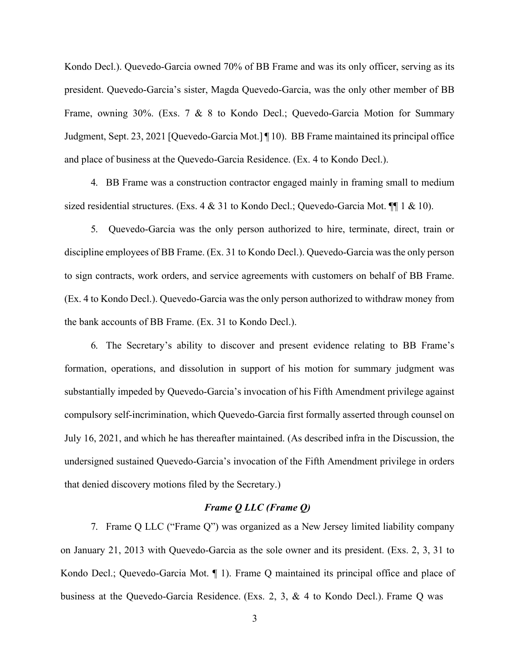Kondo Decl.). Quevedo-Garcia owned 70% of BB Frame and was its only officer, serving as its president. Quevedo-Garcia's sister, Magda Quevedo-Garcia, was the only other member of BB Frame, owning 30%. (Exs. 7 & 8 to Kondo Decl.; Quevedo-Garcia Motion for Summary Judgment, Sept. 23, 2021 [Quevedo-Garcia Mot.] ¶ 10). BB Frame maintained its principal office and place of business at the Quevedo-Garcia Residence. (Ex. 4 to Kondo Decl.).

4. BB Frame was a construction contractor engaged mainly in framing small to medium sized residential structures. (Exs.  $4 \& 31$  to Kondo Decl.; Quevedo-Garcia Mot.  $\P$  1 & 10).

5. Quevedo-Garcia was the only person authorized to hire, terminate, direct, train or discipline employees of BB Frame. (Ex. 31 to Kondo Decl.). Quevedo-Garcia was the only person to sign contracts, work orders, and service agreements with customers on behalf of BB Frame. (Ex. 4 to Kondo Decl.). Quevedo-Garcia was the only person authorized to withdraw money from the bank accounts of BB Frame. (Ex. 31 to Kondo Decl.).

6. The Secretary's ability to discover and present evidence relating to BB Frame's formation, operations, and dissolution in support of his motion for summary judgment was substantially impeded by Quevedo-Garcia's invocation of his Fifth Amendment privilege against compulsory self-incrimination, which Quevedo-Garcia first formally asserted through counsel on July 16, 2021, and which he has thereafter maintained. (As described infra in the Discussion, the undersigned sustained Quevedo-Garcia's invocation of the Fifth Amendment privilege in orders that denied discovery motions filed by the Secretary.)

#### *Frame Q LLC (Frame Q)*

7. Frame Q LLC ("Frame Q") was organized as a New Jersey limited liability company on January 21, 2013 with Quevedo-Garcia as the sole owner and its president. (Exs. 2, 3, 31 to Kondo Decl.; Quevedo-Garcia Mot. ¶ 1). Frame Q maintained its principal office and place of business at the Quevedo-Garcia Residence. (Exs. 2, 3, & 4 to Kondo Decl.). Frame Q was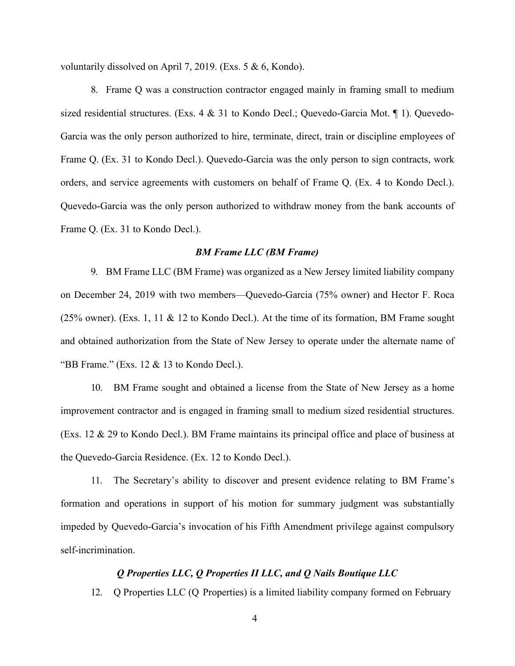voluntarily dissolved on April 7, 2019. (Exs. 5 & 6, Kondo).

8. Frame Q was a construction contractor engaged mainly in framing small to medium sized residential structures. (Exs. 4 & 31 to Kondo Decl.; Quevedo-Garcia Mot. ¶ 1). Quevedo-Garcia was the only person authorized to hire, terminate, direct, train or discipline employees of Frame Q. (Ex. 31 to Kondo Decl.). Quevedo-Garcia was the only person to sign contracts, work orders, and service agreements with customers on behalf of Frame Q. (Ex. 4 to Kondo Decl.). Quevedo-Garcia was the only person authorized to withdraw money from the bank accounts of Frame Q. (Ex. 31 to Kondo Decl.).

#### *BM Frame LLC (BM Frame)*

9. BM Frame LLC (BM Frame) was organized as a New Jersey limited liability company on December 24, 2019 with two members––Quevedo-Garcia (75% owner) and Hector F. Roca (25% owner). (Exs. 1, 11 & 12 to Kondo Decl.). At the time of its formation, BM Frame sought and obtained authorization from the State of New Jersey to operate under the alternate name of "BB Frame." (Exs. 12 & 13 to Kondo Decl.).

10. BM Frame sought and obtained a license from the State of New Jersey as a home improvement contractor and is engaged in framing small to medium sized residential structures. (Exs. 12 & 29 to Kondo Decl.). BM Frame maintains its principal office and place of business at the Quevedo-Garcia Residence. (Ex. 12 to Kondo Decl.).

11. The Secretary's ability to discover and present evidence relating to BM Frame's formation and operations in support of his motion for summary judgment was substantially impeded by Quevedo-Garcia's invocation of his Fifth Amendment privilege against compulsory self-incrimination.

#### *Q Properties LLC, Q Properties II LLC, and Q Nails Boutique LLC*

12. Q Properties LLC (Q Properties) is a limited liability company formed on February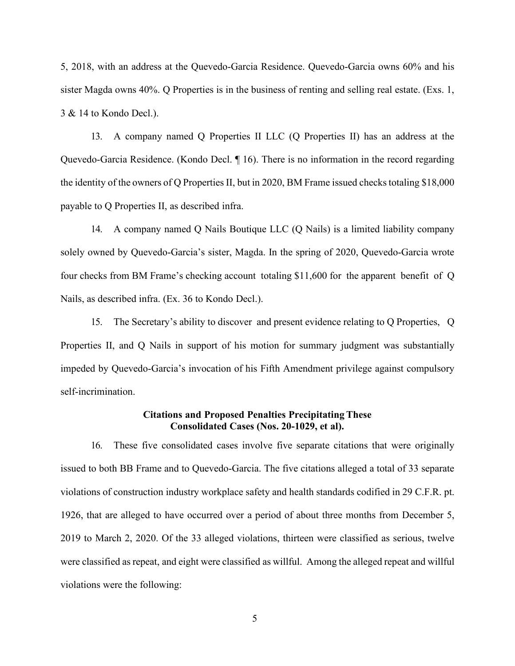5, 2018, with an address at the Quevedo-Garcia Residence. Quevedo-Garcia owns 60% and his sister Magda owns 40%. Q Properties is in the business of renting and selling real estate. (Exs. 1, 3 & 14 to Kondo Decl.).

13. A company named Q Properties II LLC (Q Properties II) has an address at the Quevedo-Garcia Residence. (Kondo Decl. ¶ 16). There is no information in the record regarding the identity of the owners of Q Properties II, but in 2020, BM Frame issued checks totaling  $$18,000$ payable to Q Properties II, as described infra.

14. A company named Q Nails Boutique LLC (Q Nails) is a limited liability company solely owned by Quevedo-Garcia's sister, Magda. In the spring of 2020, Quevedo-Garcia wrote four checks from BM Frame's checking account totaling \$11,600 for the apparent benefit of Q Nails, as described infra. (Ex. 36 to Kondo Decl.).

15. The Secretary's ability to discover and present evidence relating to Q Properties, Q Properties II, and Q Nails in support of his motion for summary judgment was substantially impeded by Quevedo-Garcia's invocation of his Fifth Amendment privilege against compulsory self-incrimination.

#### **Citations and Proposed Penalties Precipitating These Consolidated Cases (Nos. 20-1029, et al).**

16. These five consolidated cases involve five separate citations that were originally issued to both BB Frame and to Quevedo-Garcia. The five citations alleged a total of 33 separate violations of construction industry workplace safety and health standards codified in 29 C.F.R. pt. 1926, that are alleged to have occurred over a period of about three months from December 5, 2019 to March 2, 2020. Of the 33 alleged violations, thirteen were classified as serious, twelve were classified as repeat, and eight were classified as willful. Among the alleged repeat and willful violations were the following: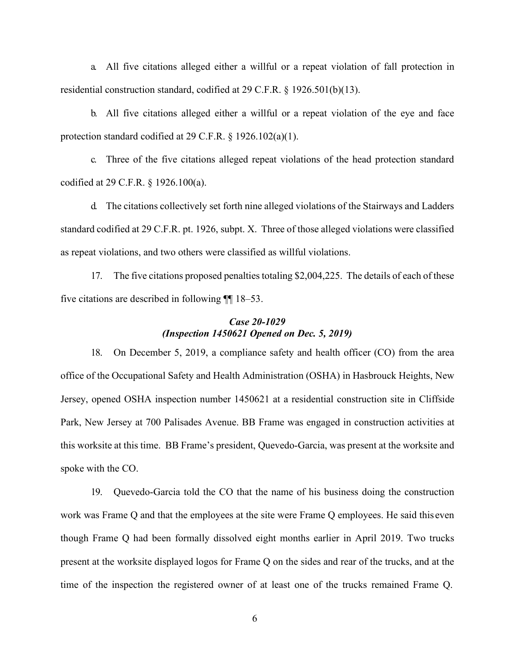a. All five citations alleged either a willful or a repeat violation of fall protection in residential construction standard, codified at 29 C.F.R. § 1926.501(b)(13).

b. All five citations alleged either a willful or a repeat violation of the eye and face protection standard codified at 29 C.F.R. § 1926.102(a)(1).

c. Three of the five citations alleged repeat violations of the head protection standard codified at 29 C.F.R. § 1926.100(a).

d. The citations collectively set forth nine alleged violations of the Stairways and Ladders standard codified at 29 C.F.R. pt. 1926, subpt. X. Three of those alleged violations were classified as repeat violations, and two others were classified as willful violations.

17. The five citations proposed penalties totaling \$2,004,225. The details of each of these five citations are described in following ¶¶ 18–53.

# *Case 20-1029 (Inspection 1450621 Opened on Dec. 5, 2019)*

18. On December 5, 2019, a compliance safety and health officer (CO) from the area office of the Occupational Safety and Health Administration (OSHA) in Hasbrouck Heights, New Jersey, opened OSHA inspection number 1450621 at a residential construction site in Cliffside Park, New Jersey at 700 Palisades Avenue. BB Frame was engaged in construction activities at this worksite at this time. BB Frame's president, Quevedo-Garcia, was present at the worksite and spoke with the CO.

19. Quevedo-Garcia told the CO that the name of his business doing the construction work was Frame Q and that the employees at the site were Frame Q employees. He said this even though Frame Q had been formally dissolved eight months earlier in April 2019. Two trucks present at the worksite displayed logos for Frame Q on the sides and rear of the trucks, and at the time of the inspection the registered owner of at least one of the trucks remained Frame Q.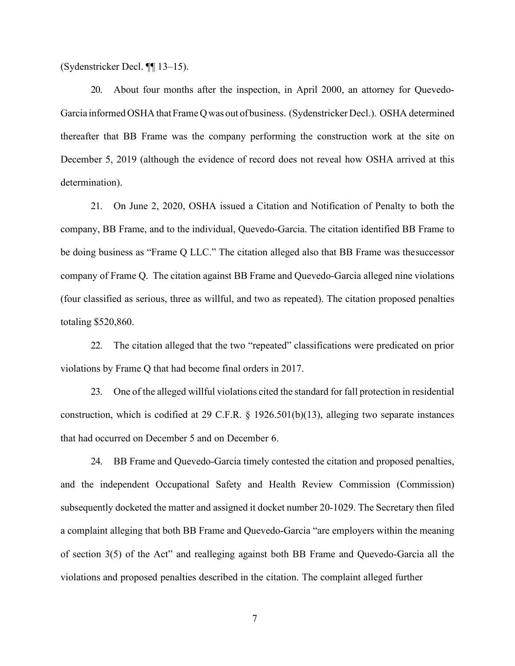(Sydenstricker Decl. ¶¶ 13–15).

20. About four months after the inspection, in April 2000, an attorney for Quevedo-Garcia informed OSHA that Frame Q was out of business. (Sydenstricker Decl.). OSHA determined thereafter that BB Frame was the company performing the construction work at the site on December 5, 2019 (although the evidence of record does not reveal how OSHA arrived at this determination).

21. On June 2, 2020, OSHA issued a Citation and Notification of Penalty to both the company, BB Frame, and to the individual, Quevedo-Garcia. The citation identified BB Frame to be doing business as "Frame Q LLC." The citation alleged also that BB Frame was thesuccessor company of Frame Q. The citation against BB Frame and Quevedo-Garcia alleged nine violations (four classified as serious, three as willful, and two as repeated). The citation proposed penalties totaling \$520,860.

22. The citation alleged that the two "repeated" classifications were predicated on prior violations by Frame Q that had become final orders in 2017.

23. One of the alleged willful violations cited the standard for fall protection in residential construction, which is codified at 29 C.F.R. § 1926.501(b)(13), alleging two separate instances that had occurred on December 5 and on December 6.

24. BB Frame and Quevedo-Garcia timely contested the citation and proposed penalties, and the independent Occupational Safety and Health Review Commission (Commission) subsequently docketed the matter and assigned it docket number 20-1029. The Secretary then filed a complaint alleging that both BB Frame and Quevedo-Garcia "are employers within the meaning of section 3(5) of the Act" and realleging against both BB Frame and Quevedo-Garcia all the violations and proposed penalties described in the citation. The complaint alleged further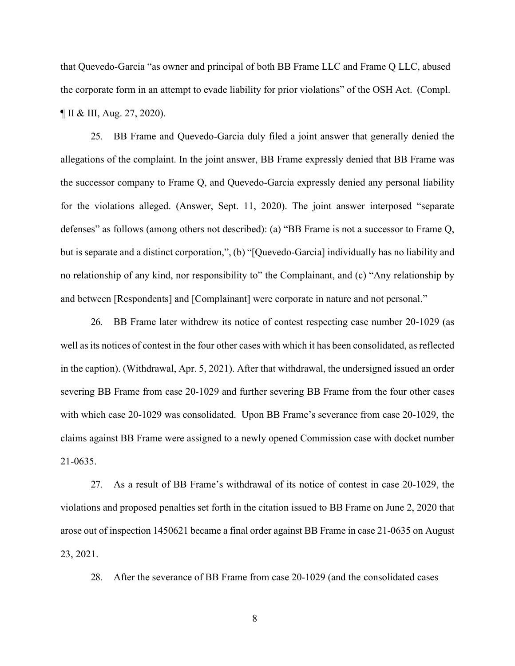that Quevedo-Garcia "as owner and principal of both BB Frame LLC and Frame Q LLC, abused the corporate form in an attempt to evade liability for prior violations" of the OSH Act. (Compl. ¶ II & III, Aug. 27, 2020).

25. BB Frame and Quevedo-Garcia duly filed a joint answer that generally denied the allegations of the complaint. In the joint answer, BB Frame expressly denied that BB Frame was the successor company to Frame Q, and Quevedo-Garcia expressly denied any personal liability for the violations alleged. (Answer, Sept. 11, 2020). The joint answer interposed "separate defenses" as follows (among others not described): (a) "BB Frame is not a successor to Frame Q, but is separate and a distinct corporation,", (b) "[Quevedo-Garcia] individually has no liability and no relationship of any kind, nor responsibility to" the Complainant, and (c) "Any relationship by and between [Respondents] and [Complainant] were corporate in nature and not personal."

26. BB Frame later withdrew its notice of contest respecting case number 20-1029 (as well as its notices of contest in the four other cases with which it has been consolidated, as reflected in the caption). (Withdrawal, Apr. 5, 2021). After that withdrawal, the undersigned issued an order severing BB Frame from case 20-1029 and further severing BB Frame from the four other cases with which case 20-1029 was consolidated. Upon BB Frame's severance from case 20-1029, the claims against BB Frame were assigned to a newly opened Commission case with docket number 21-0635.

27. As a result of BB Frame's withdrawal of its notice of contest in case 20-1029, the violations and proposed penalties set forth in the citation issued to BB Frame on June 2, 2020 that arose out of inspection 1450621 became a final order against BB Frame in case 21-0635 on August 23, 2021.

28. After the severance of BB Frame from case 20-1029 (and the consolidated cases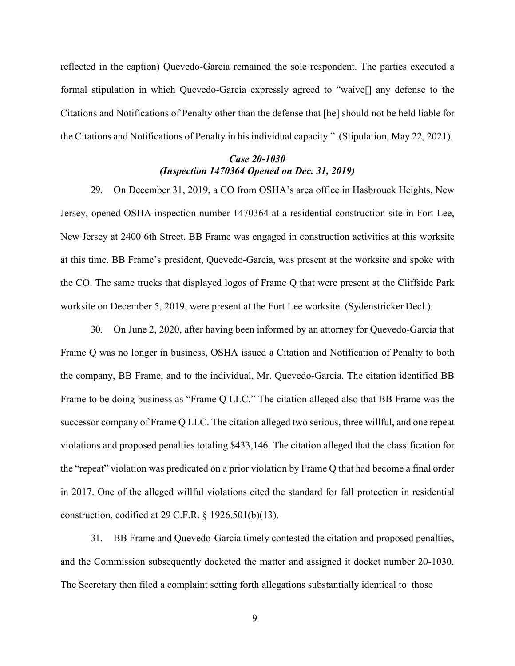reflected in the caption) Quevedo-Garcia remained the sole respondent. The parties executed a formal stipulation in which Quevedo-Garcia expressly agreed to "waive[] any defense to the Citations and Notifications of Penalty other than the defense that [he] should not be held liable for the Citations and Notifications of Penalty in his individual capacity." (Stipulation, May 22, 2021).

### *Case 20-1030 (Inspection 1470364 Opened on Dec. 31, 2019)*

29. On December 31, 2019, a CO from OSHA's area office in Hasbrouck Heights, New Jersey, opened OSHA inspection number 1470364 at a residential construction site in Fort Lee, New Jersey at 2400 6th Street. BB Frame was engaged in construction activities at this worksite at this time. BB Frame's president, Quevedo-Garcia, was present at the worksite and spoke with the CO. The same trucks that displayed logos of Frame Q that were present at the Cliffside Park worksite on December 5, 2019, were present at the Fort Lee worksite. (Sydenstricker Decl.).

30. On June 2, 2020, after having been informed by an attorney for Quevedo-Garcia that Frame Q was no longer in business, OSHA issued a Citation and Notification of Penalty to both the company, BB Frame, and to the individual, Mr. Quevedo-Garcia. The citation identified BB Frame to be doing business as "Frame Q LLC." The citation alleged also that BB Frame was the successor company of Frame Q LLC. The citation alleged two serious, three willful, and one repeat violations and proposed penalties totaling \$433,146. The citation alleged that the classification for the "repeat" violation was predicated on a prior violation by Frame Q that had become a final order in 2017. One of the alleged willful violations cited the standard for fall protection in residential construction, codified at 29 C.F.R. § 1926.501(b)(13).

31. BB Frame and Quevedo-Garcia timely contested the citation and proposed penalties, and the Commission subsequently docketed the matter and assigned it docket number 20-1030. The Secretary then filed a complaint setting forth allegations substantially identical to those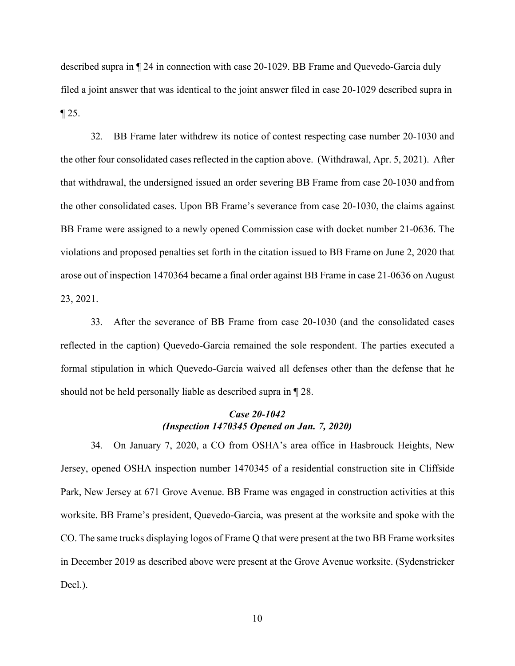described supra in ¶ 24 in connection with case 20-1029. BB Frame and Quevedo-Garcia duly filed a joint answer that was identical to the joint answer filed in case 20-1029 described supra in ¶ 25.

32. BB Frame later withdrew its notice of contest respecting case number 20-1030 and the other four consolidated cases reflected in the caption above. (Withdrawal, Apr. 5, 2021). After that withdrawal, the undersigned issued an order severing BB Frame from case 20-1030 andfrom the other consolidated cases. Upon BB Frame's severance from case 20-1030, the claims against BB Frame were assigned to a newly opened Commission case with docket number 21-0636. The violations and proposed penalties set forth in the citation issued to BB Frame on June 2, 2020 that arose out of inspection 1470364 became a final order against BB Frame in case 21-0636 on August 23, 2021.

33. After the severance of BB Frame from case 20-1030 (and the consolidated cases reflected in the caption) Quevedo-Garcia remained the sole respondent. The parties executed a formal stipulation in which Quevedo-Garcia waived all defenses other than the defense that he should not be held personally liable as described supra in ¶ 28.

### *Case 20-1042 (Inspection 1470345 Opened on Jan. 7, 2020)*

34. On January 7, 2020, a CO from OSHA's area office in Hasbrouck Heights, New Jersey, opened OSHA inspection number 1470345 of a residential construction site in Cliffside Park, New Jersey at 671 Grove Avenue. BB Frame was engaged in construction activities at this worksite. BB Frame's president, Quevedo-Garcia, was present at the worksite and spoke with the CO. The same trucks displaying logos of Frame Q that were present at the two BB Frame worksites in December 2019 as described above were present at the Grove Avenue worksite. (Sydenstricker Decl.).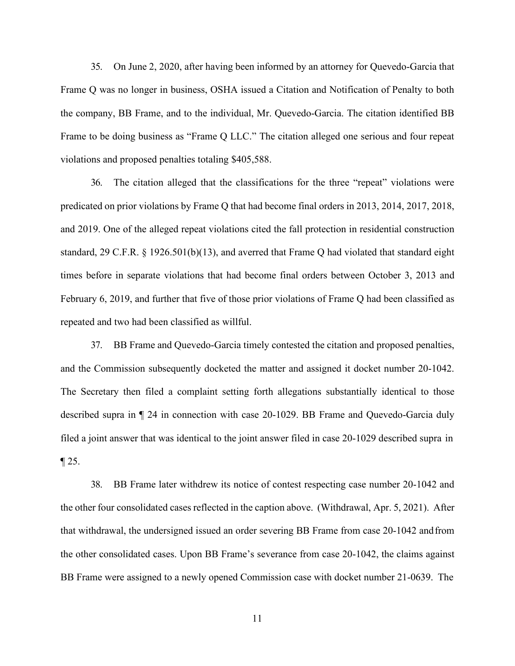35. On June 2, 2020, after having been informed by an attorney for Quevedo-Garcia that Frame Q was no longer in business, OSHA issued a Citation and Notification of Penalty to both the company, BB Frame, and to the individual, Mr. Quevedo-Garcia. The citation identified BB Frame to be doing business as "Frame Q LLC." The citation alleged one serious and four repeat violations and proposed penalties totaling \$405,588.

36. The citation alleged that the classifications for the three "repeat" violations were predicated on prior violations by Frame Q that had become final orders in 2013, 2014, 2017, 2018, and 2019. One of the alleged repeat violations cited the fall protection in residential construction standard, 29 C.F.R. § 1926.501(b)(13), and averred that Frame Q had violated that standard eight times before in separate violations that had become final orders between October 3, 2013 and February 6, 2019, and further that five of those prior violations of Frame Q had been classified as repeated and two had been classified as willful.

37. BB Frame and Quevedo-Garcia timely contested the citation and proposed penalties, and the Commission subsequently docketed the matter and assigned it docket number 20-1042. The Secretary then filed a complaint setting forth allegations substantially identical to those described supra in ¶ 24 in connection with case 20-1029. BB Frame and Quevedo-Garcia duly filed a joint answer that was identical to the joint answer filed in case 20-1029 described supra in  $\P$  25.

38. BB Frame later withdrew its notice of contest respecting case number 20-1042 and the other four consolidated cases reflected in the caption above. (Withdrawal, Apr. 5, 2021). After that withdrawal, the undersigned issued an order severing BB Frame from case 20-1042 andfrom the other consolidated cases. Upon BB Frame's severance from case 20-1042, the claims against BB Frame were assigned to a newly opened Commission case with docket number 21-0639. The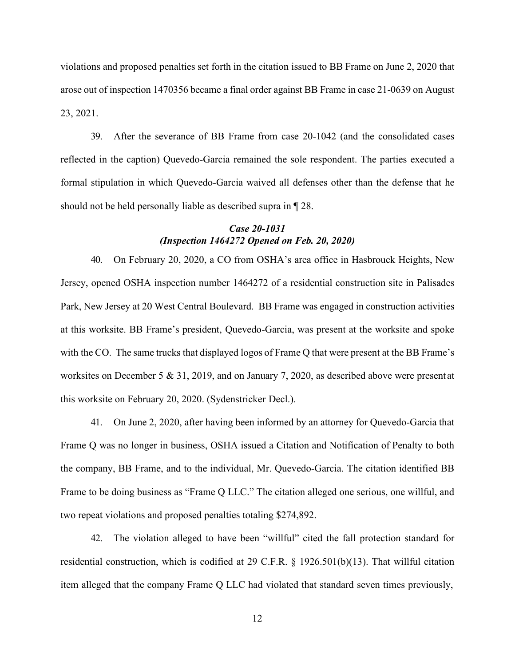violations and proposed penalties set forth in the citation issued to BB Frame on June 2, 2020 that arose out of inspection 1470356 became a final order against BB Frame in case 21-0639 on August 23, 2021.

39. After the severance of BB Frame from case 20-1042 (and the consolidated cases reflected in the caption) Quevedo-Garcia remained the sole respondent. The parties executed a formal stipulation in which Quevedo-Garcia waived all defenses other than the defense that he should not be held personally liable as described supra in ¶ 28.

### *Case 20-1031 (Inspection 1464272 Opened on Feb. 20, 2020)*

40. On February 20, 2020, a CO from OSHA's area office in Hasbrouck Heights, New Jersey, opened OSHA inspection number 1464272 of a residential construction site in Palisades Park, New Jersey at 20 West Central Boulevard. BB Frame was engaged in construction activities at this worksite. BB Frame's president, Quevedo-Garcia, was present at the worksite and spoke with the CO. The same trucks that displayed logos of Frame Q that were present at the BB Frame's worksites on December 5 & 31, 2019, and on January 7, 2020, as described above were present at this worksite on February 20, 2020. (Sydenstricker Decl.).

41. On June 2, 2020, after having been informed by an attorney for Quevedo-Garcia that Frame Q was no longer in business, OSHA issued a Citation and Notification of Penalty to both the company, BB Frame, and to the individual, Mr. Quevedo-Garcia. The citation identified BB Frame to be doing business as "Frame Q LLC." The citation alleged one serious, one willful, and two repeat violations and proposed penalties totaling \$274,892.

42. The violation alleged to have been "willful" cited the fall protection standard for residential construction, which is codified at 29 C.F.R. § 1926.501(b)(13). That willful citation item alleged that the company Frame Q LLC had violated that standard seven times previously,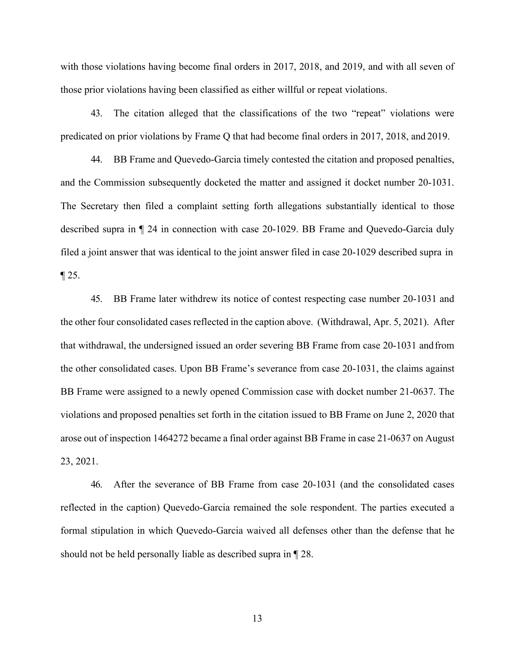with those violations having become final orders in 2017, 2018, and 2019, and with all seven of those prior violations having been classified as either willful or repeat violations.

43. The citation alleged that the classifications of the two "repeat" violations were predicated on prior violations by Frame Q that had become final orders in 2017, 2018, and 2019.

44. BB Frame and Quevedo-Garcia timely contested the citation and proposed penalties, and the Commission subsequently docketed the matter and assigned it docket number 20-1031. The Secretary then filed a complaint setting forth allegations substantially identical to those described supra in ¶ 24 in connection with case 20-1029. BB Frame and Quevedo-Garcia duly filed a joint answer that was identical to the joint answer filed in case 20-1029 described supra in  $\P$  25.

45. BB Frame later withdrew its notice of contest respecting case number 20-1031 and the other four consolidated cases reflected in the caption above. (Withdrawal, Apr. 5, 2021). After that withdrawal, the undersigned issued an order severing BB Frame from case 20-1031 andfrom the other consolidated cases. Upon BB Frame's severance from case 20-1031, the claims against BB Frame were assigned to a newly opened Commission case with docket number 21-0637. The violations and proposed penalties set forth in the citation issued to BB Frame on June 2, 2020 that arose out of inspection 1464272 became a final order against BB Frame in case 21-0637 on August 23, 2021.

46. After the severance of BB Frame from case 20-1031 (and the consolidated cases reflected in the caption) Quevedo-Garcia remained the sole respondent. The parties executed a formal stipulation in which Quevedo-Garcia waived all defenses other than the defense that he should not be held personally liable as described supra in ¶ 28.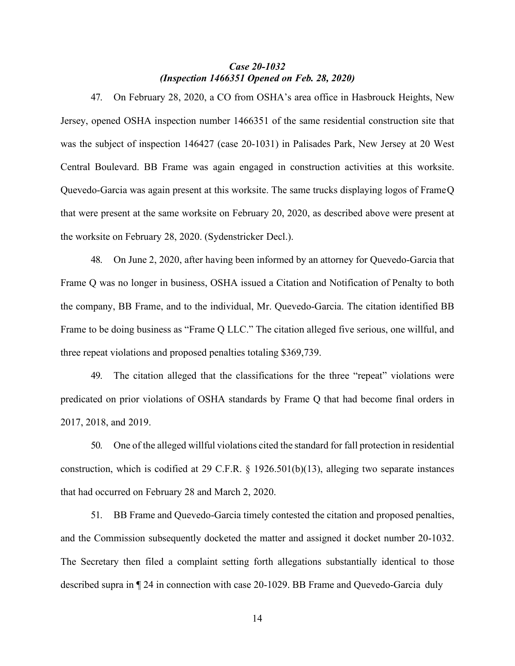### *Case 20-1032 (Inspection 1466351 Opened on Feb. 28, 2020)*

47. On February 28, 2020, a CO from OSHA's area office in Hasbrouck Heights, New Jersey, opened OSHA inspection number 1466351 of the same residential construction site that was the subject of inspection 146427 (case 20-1031) in Palisades Park, New Jersey at 20 West Central Boulevard. BB Frame was again engaged in construction activities at this worksite. Quevedo-Garcia was again present at this worksite. The same trucks displaying logos of FrameQ that were present at the same worksite on February 20, 2020, as described above were present at the worksite on February 28, 2020. (Sydenstricker Decl.).

48. On June 2, 2020, after having been informed by an attorney for Quevedo-Garcia that Frame Q was no longer in business, OSHA issued a Citation and Notification of Penalty to both the company, BB Frame, and to the individual, Mr. Quevedo-Garcia. The citation identified BB Frame to be doing business as "Frame Q LLC." The citation alleged five serious, one willful, and three repeat violations and proposed penalties totaling \$369,739.

49. The citation alleged that the classifications for the three "repeat" violations were predicated on prior violations of OSHA standards by Frame Q that had become final orders in 2017, 2018, and 2019.

50. One of the alleged willful violations cited the standard for fall protection in residential construction, which is codified at 29 C.F.R. § 1926.501(b)(13), alleging two separate instances that had occurred on February 28 and March 2, 2020.

51. BB Frame and Quevedo-Garcia timely contested the citation and proposed penalties, and the Commission subsequently docketed the matter and assigned it docket number 20-1032. The Secretary then filed a complaint setting forth allegations substantially identical to those described supra in ¶ 24 in connection with case 20-1029. BB Frame and Quevedo-Garcia duly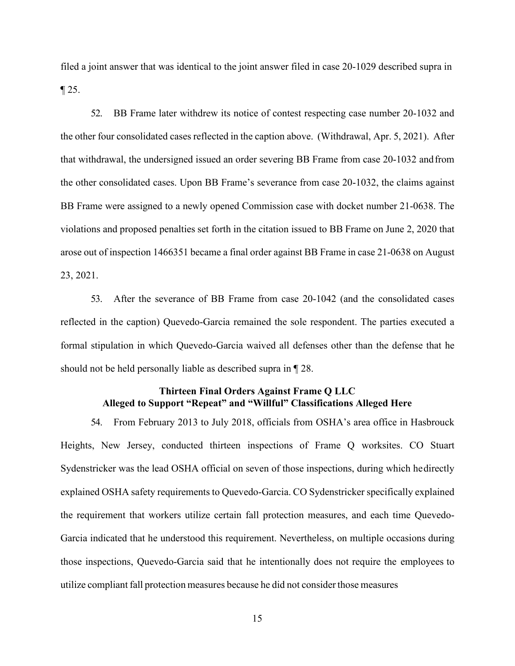filed a joint answer that was identical to the joint answer filed in case 20-1029 described supra in  $\P$  25.

52. BB Frame later withdrew its notice of contest respecting case number 20-1032 and the other four consolidated cases reflected in the caption above. (Withdrawal, Apr. 5, 2021). After that withdrawal, the undersigned issued an order severing BB Frame from case 20-1032 andfrom the other consolidated cases. Upon BB Frame's severance from case 20-1032, the claims against BB Frame were assigned to a newly opened Commission case with docket number 21-0638. The violations and proposed penalties set forth in the citation issued to BB Frame on June 2, 2020 that arose out of inspection 1466351 became a final order against BB Frame in case 21-0638 on August 23, 2021.

53. After the severance of BB Frame from case 20-1042 (and the consolidated cases reflected in the caption) Quevedo-Garcia remained the sole respondent. The parties executed a formal stipulation in which Quevedo-Garcia waived all defenses other than the defense that he should not be held personally liable as described supra in ¶ 28.

### **Thirteen Final Orders Against Frame Q LLC Alleged to Support "Repeat" and "Willful" Classifications Alleged Here**

54. From February 2013 to July 2018, officials from OSHA's area office in Hasbrouck Heights, New Jersey, conducted thirteen inspections of Frame Q worksites. CO Stuart Sydenstricker was the lead OSHA official on seven of those inspections, during which hedirectly explained OSHA safety requirements to Quevedo-Garcia. CO Sydenstricker specifically explained the requirement that workers utilize certain fall protection measures, and each time Quevedo-Garcia indicated that he understood this requirement. Nevertheless, on multiple occasions during those inspections, Quevedo-Garcia said that he intentionally does not require the employees to utilize compliant fall protection measures because he did not consider those measures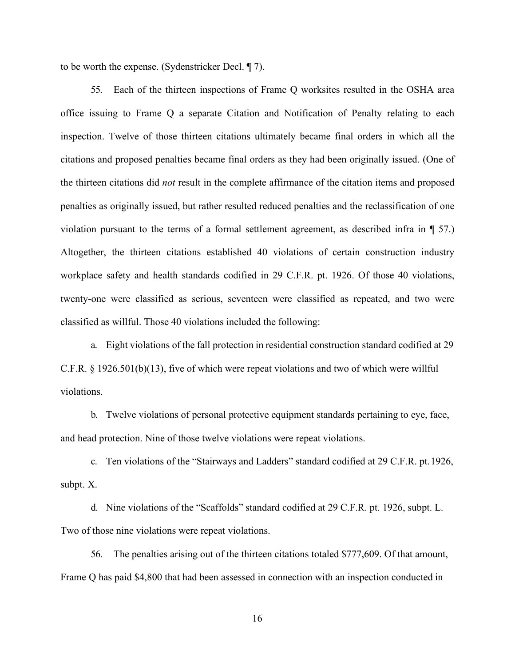to be worth the expense. (Sydenstricker Decl. ¶ 7).

55. Each of the thirteen inspections of Frame Q worksites resulted in the OSHA area office issuing to Frame Q a separate Citation and Notification of Penalty relating to each inspection. Twelve of those thirteen citations ultimately became final orders in which all the citations and proposed penalties became final orders as they had been originally issued. (One of the thirteen citations did *not* result in the complete affirmance of the citation items and proposed penalties as originally issued, but rather resulted reduced penalties and the reclassification of one violation pursuant to the terms of a formal settlement agreement, as described infra in ¶ 57.) Altogether, the thirteen citations established 40 violations of certain construction industry workplace safety and health standards codified in 29 C.F.R. pt. 1926. Of those 40 violations, twenty-one were classified as serious, seventeen were classified as repeated, and two were classified as willful. Those 40 violations included the following:

a. Eight violations of the fall protection in residential construction standard codified at 29 C.F.R. § 1926.501(b)(13), five of which were repeat violations and two of which were willful violations.

b. Twelve violations of personal protective equipment standards pertaining to eye, face, and head protection. Nine of those twelve violations were repeat violations.

c. Ten violations of the "Stairways and Ladders" standard codified at 29 C.F.R. pt.1926, subpt. X.

d. Nine violations of the "Scaffolds" standard codified at 29 C.F.R. pt. 1926, subpt. L. Two of those nine violations were repeat violations.

56. The penalties arising out of the thirteen citations totaled \$777,609. Of that amount, Frame Q has paid \$4,800 that had been assessed in connection with an inspection conducted in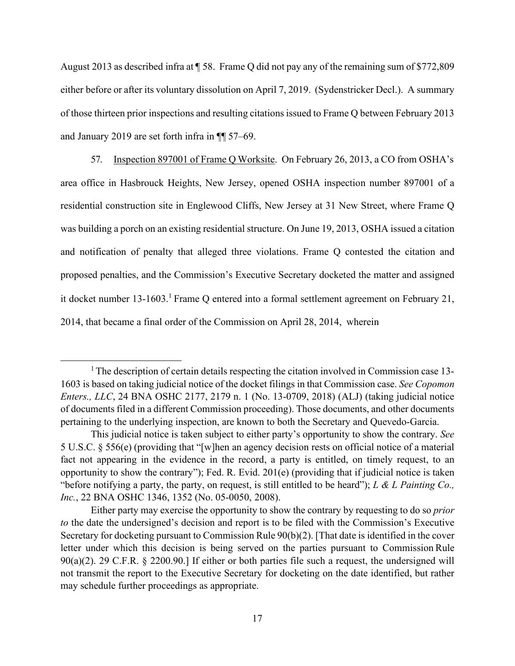August 2013 as described infra at ¶ 58. Frame Q did not pay any of the remaining sum of \$772,809 either before or after its voluntary dissolution on April 7, 2019. (Sydenstricker Decl.). A summary of those thirteen prior inspections and resulting citationsissued to Frame Q between February 2013 and January 2019 are set forth infra in ¶¶ 57–69.

57. Inspection 897001 of Frame Q Worksite. On February 26, 2013, a CO from OSHA's area office in Hasbrouck Heights, New Jersey, opened OSHA inspection number 897001 of a residential construction site in Englewood Cliffs, New Jersey at 31 New Street, where Frame Q was building a porch on an existing residential structure. On June 19, 2013, OSHA issued a citation and notification of penalty that alleged three violations. Frame Q contested the citation and proposed penalties, and the Commission's Executive Secretary docketed the matter and assigned it docket number  $13{\text -}1603$ .<sup>1</sup> Frame Q entered into a formal settlement agreement on February 21, 2014, that became a final order of the Commission on April 28, 2014, wherein

<span id="page-18-0"></span><sup>&</sup>lt;sup>1</sup> The description of certain details respecting the citation involved in Commission case 13-1603 is based on taking judicial notice of the docket filings in that Commission case. *See Copomon Enters., LLC*, 24 BNA OSHC 2177, 2179 n. 1 (No. 13-0709, 2018) (ALJ) (taking judicial notice of documents filed in a different Commission proceeding). Those documents, and other documents pertaining to the underlying inspection, are known to both the Secretary and Quevedo-Garcia.

This judicial notice is taken subject to either party's opportunity to show the contrary. *See*  5 U.S.C. § 556(e) (providing that "[w]hen an agency decision rests on official notice of a material fact not appearing in the evidence in the record, a party is entitled, on timely request, to an opportunity to show the contrary"); Fed. R. Evid. 201(e) (providing that if judicial notice is taken "before notifying a party, the party, on request, is still entitled to be heard"); *L & L Painting Co., Inc.*, 22 BNA OSHC 1346, 1352 (No. 05-0050, 2008).

Either party may exercise the opportunity to show the contrary by requesting to do so *prior to* the date the undersigned's decision and report is to be filed with the Commission's Executive Secretary for docketing pursuant to Commission Rule 90(b)(2). [That date is identified in the cover letter under which this decision is being served on the parties pursuant to Commission Rule 90(a)(2). 29 C.F.R. § 2200.90.] If either or both parties file such a request, the undersigned will not transmit the report to the Executive Secretary for docketing on the date identified, but rather may schedule further proceedings as appropriate.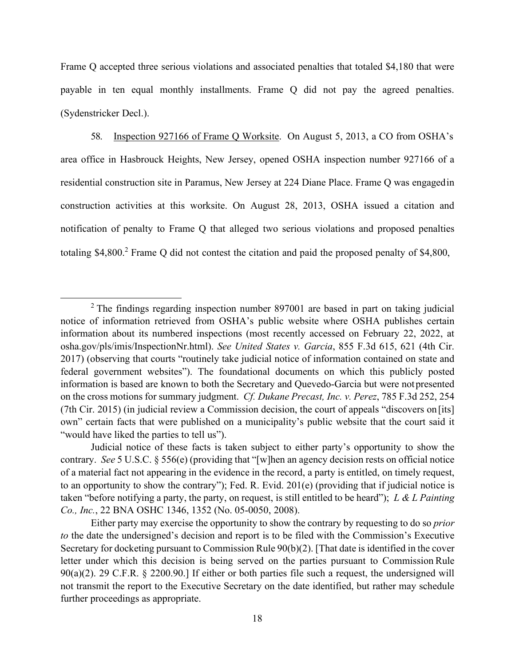Frame Q accepted three serious violations and associated penalties that totaled \$4,180 that were payable in ten equal monthly installments. Frame Q did not pay the agreed penalties. (Sydenstricker Decl.).

58. Inspection 927166 of Frame Q Worksite. On August 5, 2013, a CO from OSHA's area office in Hasbrouck Heights, New Jersey, opened OSHA inspection number 927166 of a residential construction site in Paramus, New Jersey at 224 Diane Place. Frame Q was engagedin construction activities at this worksite. On August 28, 2013, OSHA issued a citation and notification of penalty to Frame Q that alleged two serious violations and proposed penalties totaling \$4,800.<sup>2</sup> Frame Q did not contest the citation and paid the proposed penalty of \$4,800,

<span id="page-19-0"></span> $2$  The findings regarding inspection number 897001 are based in part on taking judicial notice of information retrieved from OSHA's public website where OSHA publishes certain information about its numbered inspections (most recently accessed on February 22, 2022, at osha.gov/pls/imis/InspectionNr.html). *See United States v. Garcia*, 855 F.3d 615, 621 (4th Cir. 2017) (observing that courts "routinely take judicial notice of information contained on state and federal government websites"). The foundational documents on which this publicly posted information is based are known to both the Secretary and Quevedo-Garcia but were notpresented on the cross motions for summary judgment. *Cf. Dukane Precast, Inc. v. Perez*, 785 F.3d 252, 254 (7th Cir. 2015) (in judicial review a Commission decision, the court of appeals "discovers on[its] own" certain facts that were published on a municipality's public website that the court said it "would have liked the parties to tell us").

Judicial notice of these facts is taken subject to either party's opportunity to show the contrary. *See* 5 U.S.C. § 556(e) (providing that "[w]hen an agency decision rests on official notice of a material fact not appearing in the evidence in the record, a party is entitled, on timely request, to an opportunity to show the contrary"); Fed. R. Evid. 201(e) (providing that if judicial notice is taken "before notifying a party, the party, on request, is still entitled to be heard"); *L & L Painting Co., Inc.*, 22 BNA OSHC 1346, 1352 (No. 05-0050, 2008).

Either party may exercise the opportunity to show the contrary by requesting to do so *prior to* the date the undersigned's decision and report is to be filed with the Commission's Executive Secretary for docketing pursuant to Commission Rule 90(b)(2). [That date is identified in the cover letter under which this decision is being served on the parties pursuant to Commission Rule 90(a)(2). 29 C.F.R. § 2200.90.] If either or both parties file such a request, the undersigned will not transmit the report to the Executive Secretary on the date identified, but rather may schedule further proceedings as appropriate.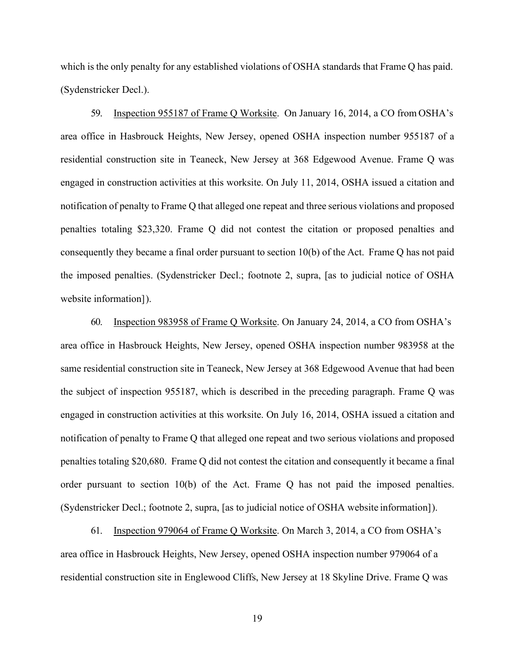which is the only penalty for any established violations of OSHA standards that Frame Q has paid. (Sydenstricker Decl.).

59. Inspection 955187 of Frame Q Worksite. On January 16, 2014, a CO from OSHA's area office in Hasbrouck Heights, New Jersey, opened OSHA inspection number 955187 of a residential construction site in Teaneck, New Jersey at 368 Edgewood Avenue. Frame Q was engaged in construction activities at this worksite. On July 11, 2014, OSHA issued a citation and notification of penalty to Frame Q that alleged one repeat and three serious violations and proposed penalties totaling \$23,320. Frame Q did not contest the citation or proposed penalties and consequently they became a final order pursuant to section 10(b) of the Act. Frame Q has not paid the imposed penalties. (Sydenstricker Decl.; footnote 2, supra, [as to judicial notice of OSHA website information]).

60. Inspection 983958 of Frame Q Worksite. On January 24, 2014, a CO from OSHA's area office in Hasbrouck Heights, New Jersey, opened OSHA inspection number 983958 at the same residential construction site in Teaneck, New Jersey at 368 Edgewood Avenue that had been the subject of inspection 955187, which is described in the preceding paragraph. Frame Q was engaged in construction activities at this worksite. On July 16, 2014, OSHA issued a citation and notification of penalty to Frame Q that alleged one repeat and two serious violations and proposed penalties totaling \$20,680. Frame Q did not contest the citation and consequently it became a final order pursuant to section 10(b) of the Act. Frame Q has not paid the imposed penalties. (Sydenstricker Decl.; footnote 2, supra, [as to judicial notice of OSHA website information] ).

61. Inspection 979064 of Frame Q Worksite. On March 3, 2014, a CO from OSHA's area office in Hasbrouck Heights, New Jersey, opened OSHA inspection number 979064 of a residential construction site in Englewood Cliffs, New Jersey at 18 Skyline Drive. Frame Q was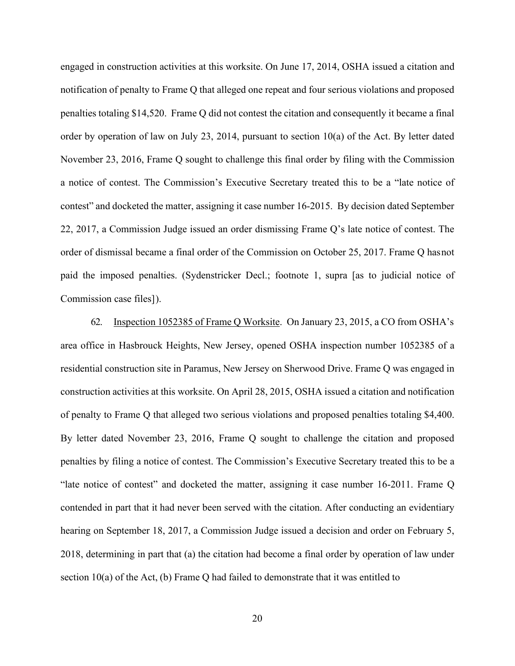engaged in construction activities at this worksite. On June 17, 2014, OSHA issued a citation and notification of penalty to Frame Q that alleged one repeat and four serious violations and proposed penalties totaling \$14,520. Frame Q did not contest the citation and consequently it became a final order by operation of law on July 23, 2014, pursuant to section 10(a) of the Act. By letter dated November 23, 2016, Frame Q sought to challenge this final order by filing with the Commission a notice of contest. The Commission's Executive Secretary treated this to be a "late notice of contest" and docketed the matter, assigning it case number 16-2015. By decision dated September 22, 2017, a Commission Judge issued an order dismissing Frame Q's late notice of contest. The order of dismissal became a final order of the Commission on October 25, 2017. Frame Q hasnot paid the imposed penalties. (Sydenstricker Decl.; footnote 1, supra [as to judicial notice of Commission case files] ).

62. Inspection 1052385 of Frame Q Worksite. On January 23, 2015, a CO from OSHA's area office in Hasbrouck Heights, New Jersey, opened OSHA inspection number 1052385 of a residential construction site in Paramus, New Jersey on Sherwood Drive. Frame Q was engaged in construction activities at this worksite. On April 28, 2015, OSHA issued a citation and notification of penalty to Frame Q that alleged two serious violations and proposed penalties totaling \$4,400. By letter dated November 23, 2016, Frame Q sought to challenge the citation and proposed penalties by filing a notice of contest. The Commission's Executive Secretary treated this to be a "late notice of contest" and docketed the matter, assigning it case number 16-2011. Frame Q contended in part that it had never been served with the citation. After conducting an evidentiary hearing on September 18, 2017, a Commission Judge issued a decision and order on February 5, 2018, determining in part that (a) the citation had become a final order by operation of law under section  $10(a)$  of the Act, (b) Frame Q had failed to demonstrate that it was entitled to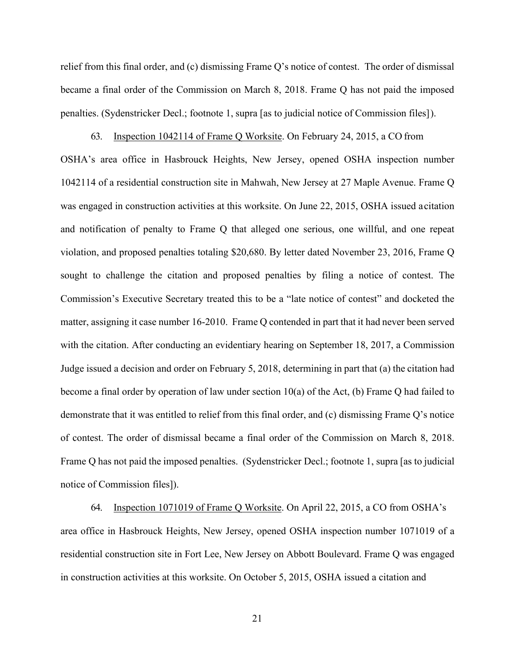relief from this final order, and (c) dismissing Frame Q's notice of contest. The order of dismissal became a final order of the Commission on March 8, 2018. Frame Q has not paid the imposed penalties. (Sydenstricker Decl.; footnote 1, supra [as to judicial notice of Commission files] ).

63. Inspection 1042114 of Frame Q Worksite. On February 24, 2015, a CO from OSHA's area office in Hasbrouck Heights, New Jersey, opened OSHA inspection number 1042114 of a residential construction site in Mahwah, New Jersey at 27 Maple Avenue. Frame Q was engaged in construction activities at this worksite. On June 22, 2015, OSHA issued acitation and notification of penalty to Frame Q that alleged one serious, one willful, and one repeat violation, and proposed penalties totaling \$20,680. By letter dated November 23, 2016, Frame Q sought to challenge the citation and proposed penalties by filing a notice of contest. The Commission's Executive Secretary treated this to be a "late notice of contest" and docketed the matter, assigning it case number 16-2010. Frame Q contended in part that it had never been served with the citation. After conducting an evidentiary hearing on September 18, 2017, a Commission Judge issued a decision and order on February 5, 2018, determining in part that (a) the citation had become a final order by operation of law under section 10(a) of the Act, (b) Frame Q had failed to demonstrate that it was entitled to relief from this final order, and (c) dismissing Frame Q's notice of contest. The order of dismissal became a final order of the Commission on March 8, 2018. Frame Q has not paid the imposed penalties. (Sydenstricker Decl.; footnote 1, supra [as to judicial notice of Commission files]).

64. Inspection 1071019 of Frame Q Worksite. On April 22, 2015, a CO from OSHA's area office in Hasbrouck Heights, New Jersey, opened OSHA inspection number 1071019 of a residential construction site in Fort Lee, New Jersey on Abbott Boulevard. Frame Q was engaged in construction activities at this worksite. On October 5, 2015, OSHA issued a citation and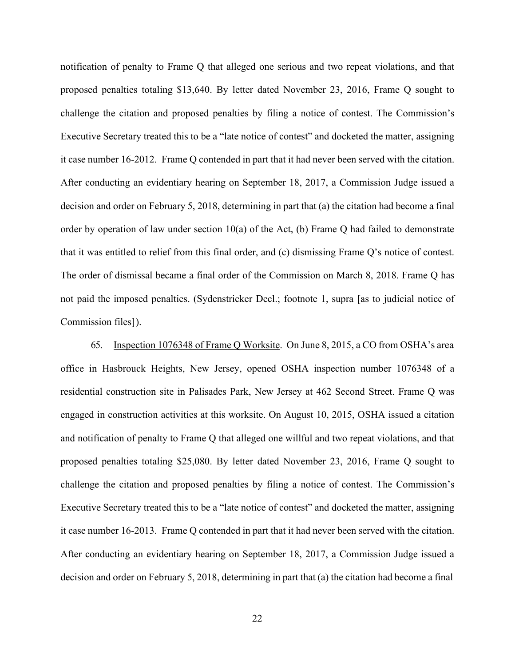notification of penalty to Frame Q that alleged one serious and two repeat violations, and that proposed penalties totaling \$13,640. By letter dated November 23, 2016, Frame Q sought to challenge the citation and proposed penalties by filing a notice of contest. The Commission's Executive Secretary treated this to be a "late notice of contest" and docketed the matter, assigning it case number 16-2012. Frame Q contended in part that it had never been served with the citation. After conducting an evidentiary hearing on September 18, 2017, a Commission Judge issued a decision and order on February 5, 2018, determining in part that (a) the citation had become a final order by operation of law under section 10(a) of the Act, (b) Frame Q had failed to demonstrate that it was entitled to relief from this final order, and (c) dismissing Frame Q's notice of contest. The order of dismissal became a final order of the Commission on March 8, 2018. Frame Q has not paid the imposed penalties. (Sydenstricker Decl.; footnote 1, supra [as to judicial notice of Commission files] ).

65. Inspection 1076348 of Frame Q Worksite. On June 8, 2015, a CO from OSHA's area office in Hasbrouck Heights, New Jersey, opened OSHA inspection number 1076348 of a residential construction site in Palisades Park, New Jersey at 462 Second Street. Frame Q was engaged in construction activities at this worksite. On August 10, 2015, OSHA issued a citation and notification of penalty to Frame Q that alleged one willful and two repeat violations, and that proposed penalties totaling \$25,080. By letter dated November 23, 2016, Frame Q sought to challenge the citation and proposed penalties by filing a notice of contest. The Commission's Executive Secretary treated this to be a "late notice of contest" and docketed the matter, assigning it case number 16-2013. Frame Q contended in part that it had never been served with the citation. After conducting an evidentiary hearing on September 18, 2017, a Commission Judge issued a decision and order on February 5, 2018, determining in part that (a) the citation had become a final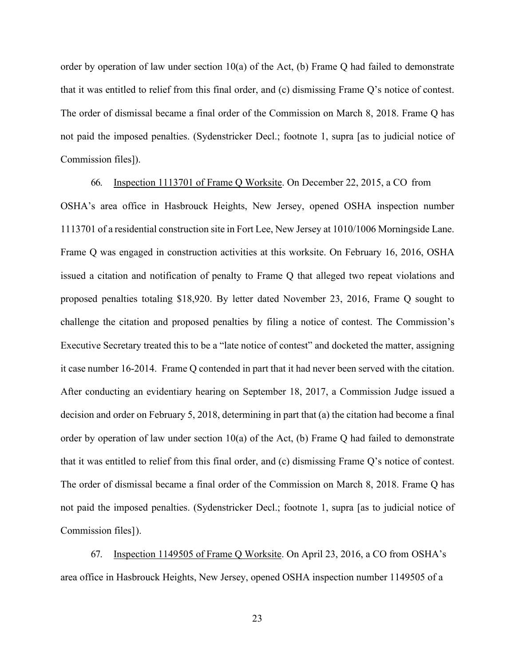order by operation of law under section  $10(a)$  of the Act, (b) Frame Q had failed to demonstrate that it was entitled to relief from this final order, and (c) dismissing Frame Q's notice of contest. The order of dismissal became a final order of the Commission on March 8, 2018. Frame Q has not paid the imposed penalties. (Sydenstricker Decl.; footnote 1, supra [as to judicial notice of Commission files]).

66. Inspection 1113701 of Frame Q Worksite. On December 22, 2015, a CO from OSHA's area office in Hasbrouck Heights, New Jersey, opened OSHA inspection number 1113701 of a residential construction site in Fort Lee, New Jersey at 1010/1006 Morningside Lane. Frame Q was engaged in construction activities at this worksite. On February 16, 2016, OSHA issued a citation and notification of penalty to Frame Q that alleged two repeat violations and proposed penalties totaling \$18,920. By letter dated November 23, 2016, Frame Q sought to challenge the citation and proposed penalties by filing a notice of contest. The Commission's Executive Secretary treated this to be a "late notice of contest" and docketed the matter, assigning it case number 16-2014. Frame Q contended in part that it had never been served with the citation. After conducting an evidentiary hearing on September 18, 2017, a Commission Judge issued a decision and order on February 5, 2018, determining in part that (a) the citation had become a final order by operation of law under section 10(a) of the Act, (b) Frame Q had failed to demonstrate that it was entitled to relief from this final order, and (c) dismissing Frame Q's notice of contest. The order of dismissal became a final order of the Commission on March 8, 2018. Frame Q has not paid the imposed penalties. (Sydenstricker Decl.; footnote 1, supra [as to judicial notice of Commission files] ).

67. Inspection 1149505 of Frame Q Worksite. On April 23, 2016, a CO from OSHA's area office in Hasbrouck Heights, New Jersey, opened OSHA inspection number 1149505 of a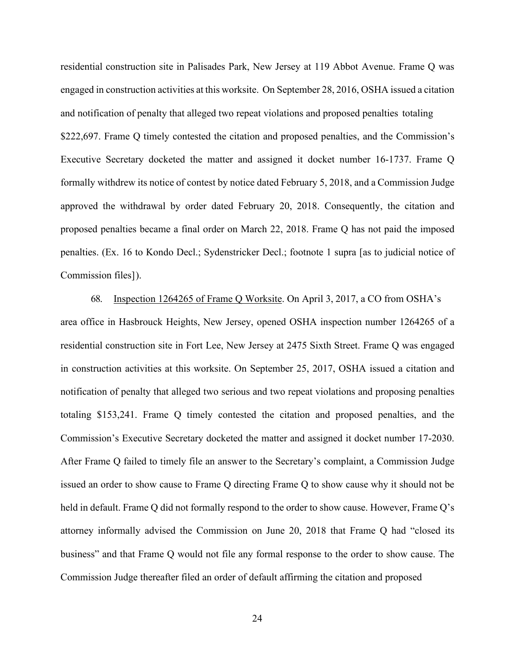residential construction site in Palisades Park, New Jersey at 119 Abbot Avenue. Frame Q was engaged in construction activities at this worksite. On September 28, 2016, OSHA issued a citation and notification of penalty that alleged two repeat violations and proposed penalties totaling \$222,697. Frame Q timely contested the citation and proposed penalties, and the Commission's Executive Secretary docketed the matter and assigned it docket number 16-1737. Frame Q formally withdrew its notice of contest by notice dated February 5, 2018, and a Commission Judge approved the withdrawal by order dated February 20, 2018. Consequently, the citation and proposed penalties became a final order on March 22, 2018. Frame Q has not paid the imposed penalties. (Ex. 16 to Kondo Decl.; Sydenstricker Decl.; footnote 1 supra [as to judicial notice of Commission files] ).

68. Inspection 1264265 of Frame Q Worksite. On April 3, 2017, a CO from OSHA's area office in Hasbrouck Heights, New Jersey, opened OSHA inspection number 1264265 of a residential construction site in Fort Lee, New Jersey at 2475 Sixth Street. Frame Q was engaged in construction activities at this worksite. On September 25, 2017, OSHA issued a citation and notification of penalty that alleged two serious and two repeat violations and proposing penalties totaling \$153,241. Frame Q timely contested the citation and proposed penalties, and the Commission's Executive Secretary docketed the matter and assigned it docket number 17-2030. After Frame Q failed to timely file an answer to the Secretary's complaint, a Commission Judge issued an order to show cause to Frame Q directing Frame Q to show cause why it should not be held in default. Frame Q did not formally respond to the order to show cause. However, Frame Q's attorney informally advised the Commission on June 20, 2018 that Frame Q had "closed its business" and that Frame Q would not file any formal response to the order to show cause. The Commission Judge thereafter filed an order of default affirming the citation and proposed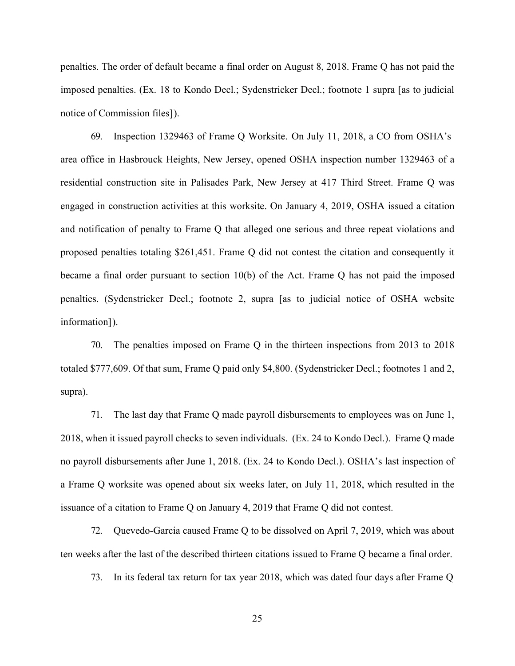penalties. The order of default became a final order on August 8, 2018. Frame Q has not paid the imposed penalties. (Ex. 18 to Kondo Decl.; Sydenstricker Decl.; footnote 1 supra [as to judicial notice of Commission files] ).

69. Inspection 1329463 of Frame Q Worksite. On July 11, 2018, a CO from OSHA's area office in Hasbrouck Heights, New Jersey, opened OSHA inspection number 1329463 of a residential construction site in Palisades Park, New Jersey at 417 Third Street. Frame Q was engaged in construction activities at this worksite. On January 4, 2019, OSHA issued a citation and notification of penalty to Frame Q that alleged one serious and three repeat violations and proposed penalties totaling \$261,451. Frame Q did not contest the citation and consequently it became a final order pursuant to section 10(b) of the Act. Frame Q has not paid the imposed penalties. (Sydenstricker Decl.; footnote 2, supra [as to judicial notice of OSHA website information]).

70. The penalties imposed on Frame Q in the thirteen inspections from 2013 to 2018 totaled \$777,609. Of that sum, Frame Q paid only \$4,800. (Sydenstricker Decl.; footnotes 1 and 2, supra).

71. The last day that Frame Q made payroll disbursements to employees was on June 1, 2018, when it issued payroll checks to seven individuals. (Ex. 24 to Kondo Decl.). Frame Q made no payroll disbursements after June 1, 2018. (Ex. 24 to Kondo Decl.). OSHA's last inspection of a Frame Q worksite was opened about six weeks later, on July 11, 2018, which resulted in the issuance of a citation to Frame Q on January 4, 2019 that Frame Q did not contest.

72. Quevedo-Garcia caused Frame Q to be dissolved on April 7, 2019, which was about ten weeks after the last of the described thirteen citations issued to Frame Q became a final order.

73. In its federal tax return for tax year 2018, which was dated four days after Frame Q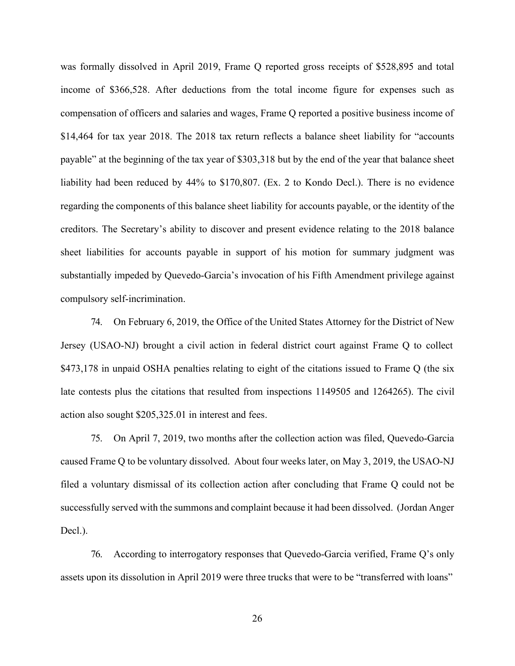was formally dissolved in April 2019, Frame Q reported gross receipts of \$528,895 and total income of \$366,528. After deductions from the total income figure for expenses such as compensation of officers and salaries and wages, Frame Q reported a positive business income of \$14,464 for tax year 2018. The 2018 tax return reflects a balance sheet liability for "accounts" payable" at the beginning of the tax year of \$303,318 but by the end of the year that balance sheet liability had been reduced by 44% to \$170,807. (Ex. 2 to Kondo Decl.). There is no evidence regarding the components of this balance sheet liability for accounts payable, or the identity of the creditors. The Secretary's ability to discover and present evidence relating to the 2018 balance sheet liabilities for accounts payable in support of his motion for summary judgment was substantially impeded by Quevedo-Garcia's invocation of his Fifth Amendment privilege against compulsory self-incrimination.

74. On February 6, 2019, the Office of the United States Attorney for the District of New Jersey (USAO-NJ) brought a civil action in federal district court against Frame Q to collect \$473,178 in unpaid OSHA penalties relating to eight of the citations issued to Frame Q (the six late contests plus the citations that resulted from inspections 1149505 and 1264265). The civil action also sought \$205,325.01 in interest and fees.

75. On April 7, 2019, two months after the collection action was filed, Quevedo-Garcia caused Frame Q to be voluntary dissolved. About four weeks later, on May 3, 2019, the USAO-NJ filed a voluntary dismissal of its collection action after concluding that Frame Q could not be successfully served with the summons and complaint because it had been dissolved. (Jordan Anger Decl.).

76. According to interrogatory responses that Quevedo-Garcia verified, Frame Q's only assets upon its dissolution in April 2019 were three trucks that were to be "transferred with loans"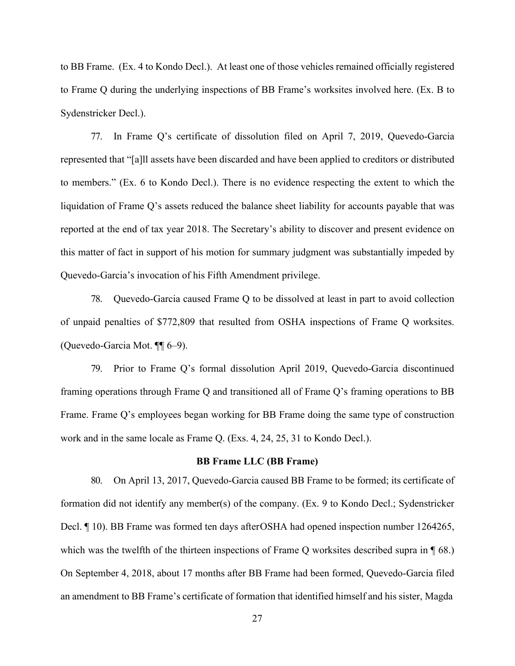to BB Frame. (Ex. 4 to Kondo Decl.). At least one of those vehicles remained officially registered to Frame Q during the underlying inspections of BB Frame's worksites involved here. (Ex. B to Sydenstricker Decl.).

77. In Frame Q's certificate of dissolution filed on April 7, 2019, Quevedo-Garcia represented that "[a]ll assets have been discarded and have been applied to creditors or distributed to members." (Ex. 6 to Kondo Decl.). There is no evidence respecting the extent to which the liquidation of Frame Q's assets reduced the balance sheet liability for accounts payable that was reported at the end of tax year 2018. The Secretary's ability to discover and present evidence on this matter of fact in support of his motion for summary judgment was substantially impeded by Quevedo-Garcia's invocation of his Fifth Amendment privilege.

78. Quevedo-Garcia caused Frame Q to be dissolved at least in part to avoid collection of unpaid penalties of \$772,809 that resulted from OSHA inspections of Frame Q worksites. (Quevedo-Garcia Mot. ¶¶ 6–9).

79. Prior to Frame Q's formal dissolution April 2019, Quevedo-Garcia discontinued framing operations through Frame Q and transitioned all of Frame Q's framing operations to BB Frame. Frame Q's employees began working for BB Frame doing the same type of construction work and in the same locale as Frame Q. (Exs. 4, 24, 25, 31 to Kondo Decl.).

#### **BB Frame LLC (BB Frame)**

80. On April 13, 2017, Quevedo-Garcia caused BB Frame to be formed; its certificate of formation did not identify any member(s) of the company. (Ex. 9 to Kondo Decl.; Sydenstricker Decl. ¶ 10). BB Frame was formed ten days after OSHA had opened inspection number 1264265, which was the twelfth of the thirteen inspections of Frame Q worksites described supra in  $\P$  68.) On September 4, 2018, about 17 months after BB Frame had been formed, Quevedo-Garcia filed an amendment to BB Frame's certificate of formation that identified himself and his sister, Magda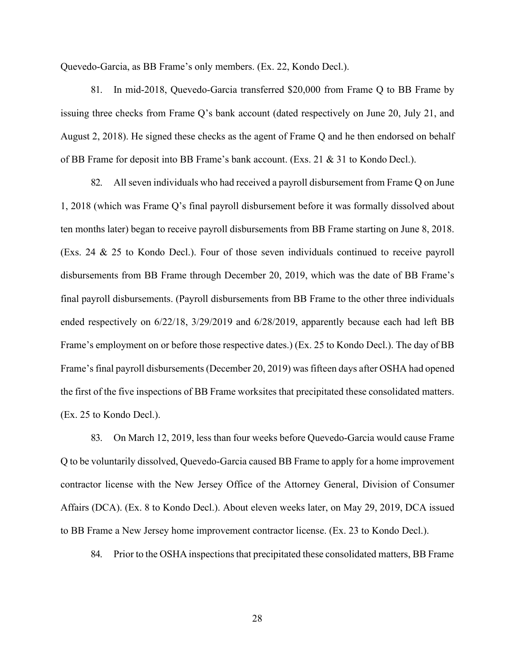Quevedo-Garcia, as BB Frame's only members. (Ex. 22, Kondo Decl.).

81. In mid-2018, Quevedo-Garcia transferred \$20,000 from Frame Q to BB Frame by issuing three checks from Frame Q's bank account (dated respectively on June 20, July 21, and August 2, 2018). He signed these checks as the agent of Frame Q and he then endorsed on behalf of BB Frame for deposit into BB Frame's bank account. (Exs. 21 & 31 to Kondo Decl.).

82. All seven individuals who had received a payroll disbursement from Frame Q on June 1, 2018 (which was Frame Q's final payroll disbursement before it was formally dissolved about ten months later) began to receive payroll disbursements from BB Frame starting on June 8, 2018. (Exs. 24 & 25 to Kondo Decl.). Four of those seven individuals continued to receive payroll disbursements from BB Frame through December 20, 2019, which was the date of BB Frame's final payroll disbursements. (Payroll disbursements from BB Frame to the other three individuals ended respectively on 6/22/18, 3/29/2019 and 6/28/2019, apparently because each had left BB Frame's employment on or before those respective dates.) (Ex. 25 to Kondo Decl.). The day of BB Frame's final payroll disbursements (December 20, 2019) was fifteen days after OSHA had opened the first of the five inspections of BB Frame worksites that precipitated these consolidated matters. (Ex. 25 to Kondo Decl.).

83. On March 12, 2019, less than four weeks before Quevedo-Garcia would cause Frame Q to be voluntarily dissolved, Quevedo-Garcia caused BB Frame to apply for a home improvement contractor license with the New Jersey Office of the Attorney General, Division of Consumer Affairs (DCA). (Ex. 8 to Kondo Decl.). About eleven weeks later, on May 29, 2019, DCA issued to BB Frame a New Jersey home improvement contractor license. (Ex. 23 to Kondo Decl.).

84. Prior to the OSHA inspections that precipitated these consolidated matters, BB Frame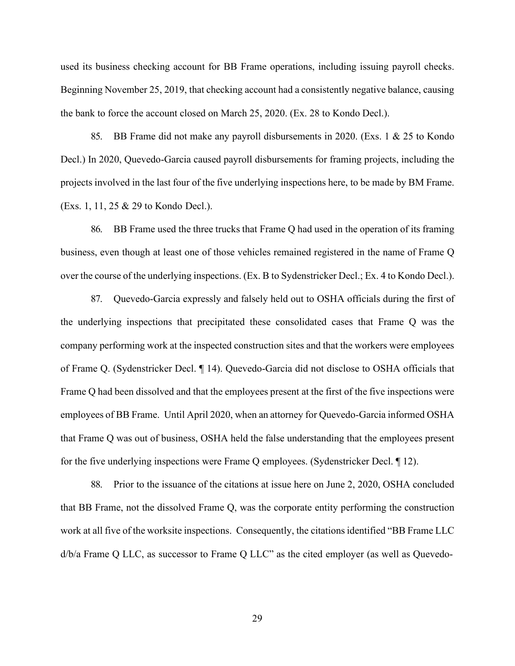used its business checking account for BB Frame operations, including issuing payroll checks. Beginning November 25, 2019, that checking account had a consistently negative balance, causing the bank to force the account closed on March 25, 2020. (Ex. 28 to Kondo Decl.).

85. BB Frame did not make any payroll disbursements in 2020. (Exs. 1 & 25 to Kondo Decl.) In 2020, Quevedo-Garcia caused payroll disbursements for framing projects, including the projects involved in the last four of the five underlying inspections here, to be made by BM Frame. (Exs. 1, 11, 25 & 29 to Kondo Decl.).

86. BB Frame used the three trucks that Frame Q had used in the operation of its framing business, even though at least one of those vehicles remained registered in the name of Frame Q over the course of the underlying inspections. (Ex. B to Sydenstricker Decl.; Ex. 4 to Kondo Decl.).

87. Quevedo-Garcia expressly and falsely held out to OSHA officials during the first of the underlying inspections that precipitated these consolidated cases that Frame Q was the company performing work at the inspected construction sites and that the workers were employees of Frame Q. (Sydenstricker Decl. ¶ 14). Quevedo-Garcia did not disclose to OSHA officials that Frame Q had been dissolved and that the employees present at the first of the five inspections were employees of BB Frame. Until April 2020, when an attorney for Quevedo-Garcia informed OSHA that Frame Q was out of business, OSHA held the false understanding that the employees present for the five underlying inspections were Frame Q employees. (Sydenstricker Decl. ¶ 12).

88. Prior to the issuance of the citations at issue here on June 2, 2020, OSHA concluded that BB Frame, not the dissolved Frame Q, was the corporate entity performing the construction work at all five of the worksite inspections. Consequently, the citationsidentified "BB Frame LLC d/b/a Frame Q LLC, as successor to Frame Q LLC" as the cited employer (as well as Quevedo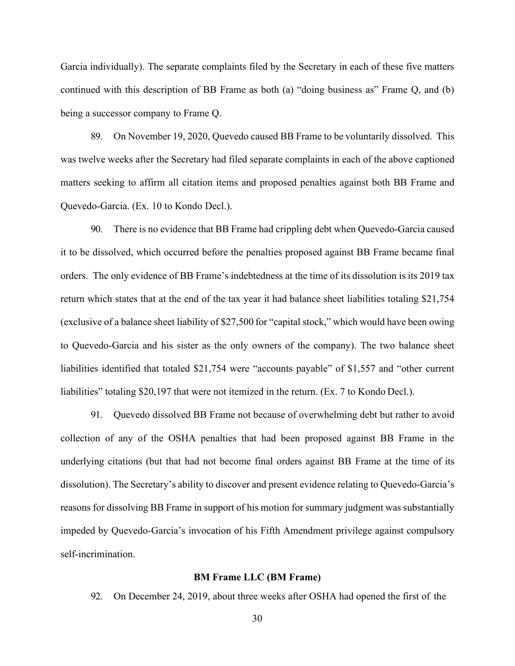Garcia individually). The separate complaints filed by the Secretary in each of these five matters continued with this description of BB Frame as both (a) "doing business as" Frame Q, and (b) being a successor company to Frame Q.

89. On November 19, 2020, Quevedo caused BB Frame to be voluntarily dissolved. This was twelve weeks after the Secretary had filed separate complaints in each of the above captioned matters seeking to affirm all citation items and proposed penalties against both BB Frame and Quevedo-Garcia. (Ex. 10 to Kondo Decl.).

90. There is no evidence that BB Frame had crippling debt when Quevedo-Garcia caused it to be dissolved, which occurred before the penalties proposed against BB Frame became final orders. The only evidence of BB Frame's indebtedness at the time of its dissolution is its 2019 tax return which states that at the end of the tax year it had balance sheet liabilities totaling \$21,754 (exclusive of a balance sheet liability of \$27,500 for "capital stock," which would have been owing to Quevedo-Garcia and his sister as the only owners of the company). The two balance sheet liabilities identified that totaled \$21,754 were "accounts payable" of \$1,557 and "other current liabilities" totaling \$20,197 that were not itemized in the return. (Ex. 7 to Kondo Decl.).

91. Quevedo dissolved BB Frame not because of overwhelming debt but rather to avoid collection of any of the OSHA penalties that had been proposed against BB Frame in the underlying citations (but that had not become final orders against BB Frame at the time of its dissolution). The Secretary's ability to discover and present evidence relating to Quevedo-Garcia's reasons for dissolving BB Frame in support of his motion for summary judgment was substantially impeded by Quevedo-Garcia's invocation of his Fifth Amendment privilege against compulsory self-incrimination.

#### **BM Frame LLC (BM Frame)**

92. On December 24, 2019, about three weeks after OSHA had opened the first of the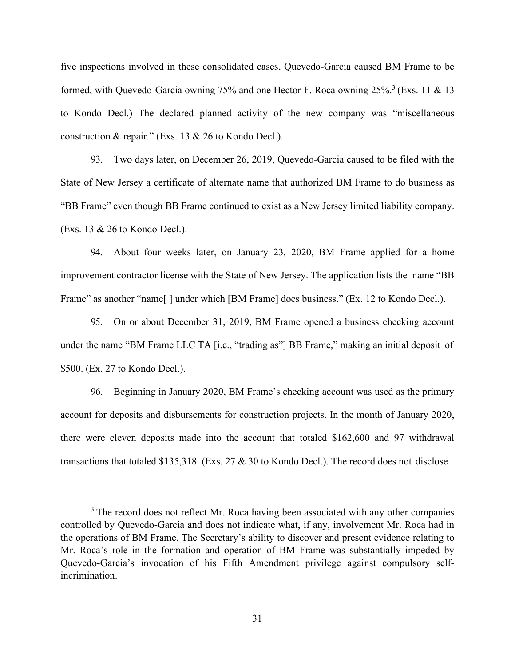five inspections involved in these consolidated cases, Quevedo-Garcia caused BM Frame to be formed, with Quevedo-Garcia owning 75% and one Hector F. Roca owning  $25\%$ <sup>3</sup> (Exs. 11 & 13) to Kondo Decl.) The declared planned activity of the new company was "miscellaneous construction & repair." (Exs. 13 & 26 to Kondo Decl.).

93. Two days later, on December 26, 2019, Quevedo-Garcia caused to be filed with the State of New Jersey a certificate of alternate name that authorized BM Frame to do business as "BB Frame" even though BB Frame continued to exist as a New Jersey limited liability company. (Exs. 13 & 26 to Kondo Decl.).

94. About four weeks later, on January 23, 2020, BM Frame applied for a home improvement contractor license with the State of New Jersey. The application lists the name "BB Frame" as another "name[] under which [BM Frame] does business." (Ex. 12 to Kondo Decl.).

95. On or about December 31, 2019, BM Frame opened a business checking account under the name "BM Frame LLC TA [i.e., "trading as"] BB Frame," making an initial deposit of \$500. (Ex. 27 to Kondo Decl.).

96. Beginning in January 2020, BM Frame's checking account was used as the primary account for deposits and disbursements for construction projects. In the month of January 2020, there were eleven deposits made into the account that totaled \$162,600 and 97 withdrawal transactions that totaled \$135,318. (Exs. 27 & 30 to Kondo Decl.). The record does not disclose

<span id="page-32-0"></span><sup>&</sup>lt;sup>3</sup> The record does not reflect Mr. Roca having been associated with any other companies controlled by Quevedo-Garcia and does not indicate what, if any, involvement Mr. Roca had in the operations of BM Frame. The Secretary's ability to discover and present evidence relating to Mr. Roca's role in the formation and operation of BM Frame was substantially impeded by Quevedo-Garcia's invocation of his Fifth Amendment privilege against compulsory selfincrimination.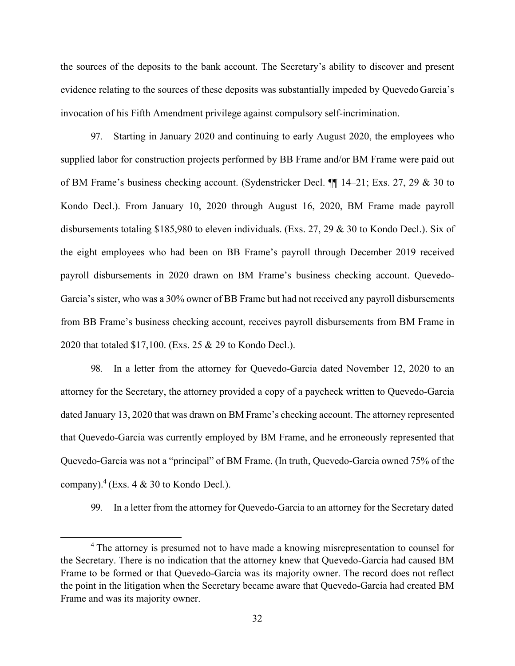the sources of the deposits to the bank account. The Secretary's ability to discover and present evidence relating to the sources of these deposits was substantially impeded by Quevedo Garcia's invocation of his Fifth Amendment privilege against compulsory self-incrimination.

97. Starting in January 2020 and continuing to early August 2020, the employees who supplied labor for construction projects performed by BB Frame and/or BM Frame were paid out of BM Frame's business checking account. (Sydenstricker Decl. ¶¶ 14–21; Exs. 27, 29 & 30 to Kondo Decl.). From January 10, 2020 through August 16, 2020, BM Frame made payroll disbursements totaling \$185,980 to eleven individuals. (Exs. 27, 29 & 30 to Kondo Decl.). Six of the eight employees who had been on BB Frame's payroll through December 2019 received payroll disbursements in 2020 drawn on BM Frame's business checking account. Quevedo-Garcia's sister, who was a 30% owner of BB Frame but had not received any payroll disbursements from BB Frame's business checking account, receives payroll disbursements from BM Frame in 2020 that totaled \$17,100. (Exs. 25 & 29 to Kondo Decl.).

98. In a letter from the attorney for Quevedo-Garcia dated November 12, 2020 to an attorney for the Secretary, the attorney provided a copy of a paycheck written to Quevedo-Garcia dated January 13, 2020 that was drawn on BM Frame's checking account. The attorney represented that Quevedo-Garcia was currently employed by BM Frame, and he erroneously represented that Quevedo-Garcia was not a "principal" of BM Frame. (In truth, Quevedo-Garcia owned 75% of the company). $^{4}$  $^{4}$  $^{4}$  (Exs. 4 & 30 to Kondo Decl.).

99. In a letter from the attorney for Quevedo-Garcia to an attorney for the Secretary dated

<span id="page-33-0"></span><sup>&</sup>lt;sup>4</sup> The attorney is presumed not to have made a knowing misrepresentation to counsel for the Secretary. There is no indication that the attorney knew that Quevedo-Garcia had caused BM Frame to be formed or that Quevedo-Garcia was its majority owner. The record does not reflect the point in the litigation when the Secretary became aware that Quevedo-Garcia had created BM Frame and was its majority owner.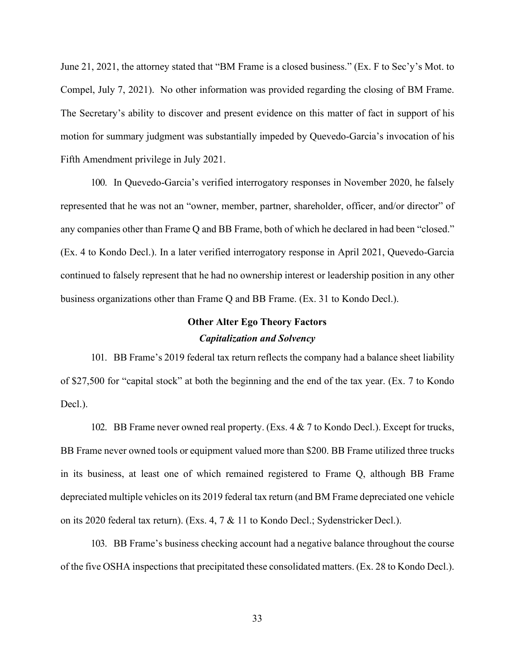June 21, 2021, the attorney stated that "BM Frame is a closed business." (Ex. F to Sec'y's Mot. to Compel, July 7, 2021). No other information was provided regarding the closing of BM Frame. The Secretary's ability to discover and present evidence on this matter of fact in support of his motion for summary judgment was substantially impeded by Quevedo-Garcia's invocation of his Fifth Amendment privilege in July 2021.

100. In Quevedo-Garcia's verified interrogatory responses in November 2020, he falsely represented that he was not an "owner, member, partner, shareholder, officer, and/or director" of any companies other than Frame Q and BB Frame, both of which he declared in had been "closed." (Ex. 4 to Kondo Decl.). In a later verified interrogatory response in April 2021, Quevedo-Garcia continued to falsely represent that he had no ownership interest or leadership position in any other business organizations other than Frame Q and BB Frame. (Ex. 31 to Kondo Decl.).

# **Other Alter Ego Theory Factors** *Capitalization and Solvency*

101. BB Frame's 2019 federal tax return reflects the company had a balance sheet liability of \$27,500 for "capital stock" at both the beginning and the end of the tax year. (Ex. 7 to Kondo Decl.).

102. BB Frame never owned real property. (Exs. 4 & 7 to Kondo Decl.). Except for trucks, BB Frame never owned tools or equipment valued more than \$200. BB Frame utilized three trucks in its business, at least one of which remained registered to Frame Q, although BB Frame depreciated multiple vehicles on its 2019 federal tax return (and BM Frame depreciated one vehicle on its 2020 federal tax return). (Exs. 4, 7 & 11 to Kondo Decl.; Sydenstricker Decl.).

103. BB Frame's business checking account had a negative balance throughout the course of the five OSHA inspections that precipitated these consolidated matters. (Ex. 28 to Kondo Decl.).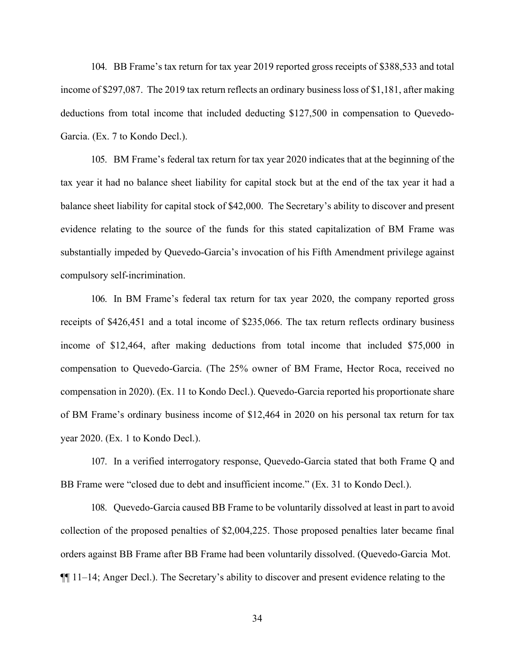104. BB Frame's tax return for tax year 2019 reported gross receipts of \$388,533 and total income of \$297,087. The 2019 tax return reflects an ordinary business loss of \$1,181, after making deductions from total income that included deducting \$127,500 in compensation to Quevedo-Garcia. (Ex. 7 to Kondo Decl.).

105. BM Frame's federal tax return for tax year 2020 indicates that at the beginning of the tax year it had no balance sheet liability for capital stock but at the end of the tax year it had a balance sheet liability for capital stock of \$42,000. The Secretary's ability to discover and present evidence relating to the source of the funds for this stated capitalization of BM Frame was substantially impeded by Quevedo-Garcia's invocation of his Fifth Amendment privilege against compulsory self-incrimination.

106. In BM Frame's federal tax return for tax year 2020, the company reported gross receipts of \$426,451 and a total income of \$235,066. The tax return reflects ordinary business income of \$12,464, after making deductions from total income that included \$75,000 in compensation to Quevedo-Garcia. (The 25% owner of BM Frame, Hector Roca, received no compensation in 2020). (Ex. 11 to Kondo Decl.). Quevedo-Garcia reported his proportionate share of BM Frame's ordinary business income of \$12,464 in 2020 on his personal tax return for tax year 2020. (Ex. 1 to Kondo Decl.).

107. In a verified interrogatory response, Quevedo-Garcia stated that both Frame Q and BB Frame were "closed due to debt and insufficient income." (Ex. 31 to Kondo Decl.).

108. Quevedo-Garcia caused BB Frame to be voluntarily dissolved at least in part to avoid collection of the proposed penalties of \$2,004,225. Those proposed penalties later became final orders against BB Frame after BB Frame had been voluntarily dissolved. (Quevedo-Garcia Mot. ¶¶ 11–14; Anger Decl.). The Secretary's ability to discover and present evidence relating to the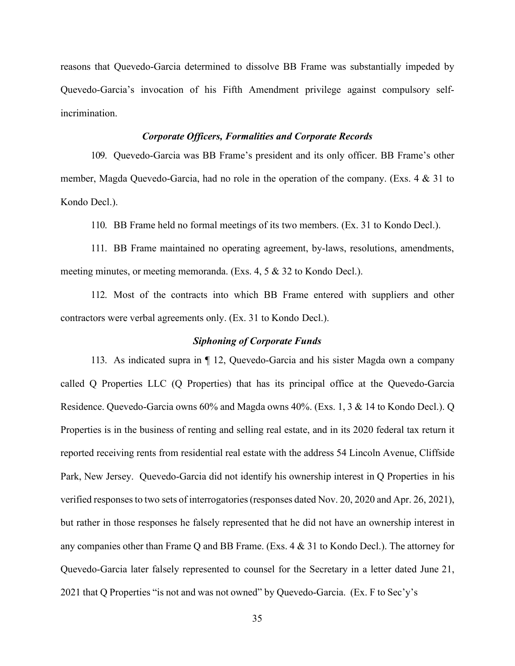reasons that Quevedo-Garcia determined to dissolve BB Frame was substantially impeded by Quevedo-Garcia's invocation of his Fifth Amendment privilege against compulsory selfincrimination.

### *Corporate Officers, Formalities and Corporate Records*

109. Quevedo-Garcia was BB Frame's president and its only officer. BB Frame's other member, Magda Quevedo-Garcia, had no role in the operation of the company. (Exs. 4 & 31 to Kondo Decl.).

110. BB Frame held no formal meetings of its two members. (Ex. 31 to Kondo Decl.).

111. BB Frame maintained no operating agreement, by-laws, resolutions, amendments, meeting minutes, or meeting memoranda. (Exs. 4, 5 & 32 to Kondo Decl.).

112. Most of the contracts into which BB Frame entered with suppliers and other contractors were verbal agreements only. (Ex. 31 to Kondo Decl.).

### *Siphoning of Corporate Funds*

113. As indicated supra in ¶ 12, Quevedo-Garcia and his sister Magda own a company called Q Properties LLC (Q Properties) that has its principal office at the Quevedo-Garcia Residence. Quevedo-Garcia owns 60% and Magda owns 40%. (Exs. 1, 3 & 14 to Kondo Decl.). Q Properties is in the business of renting and selling real estate, and in its 2020 federal tax return it reported receiving rents from residential real estate with the address 54 Lincoln Avenue, Cliffside Park, New Jersey. Quevedo-Garcia did not identify his ownership interest in Q Properties in his verified responses to two sets of interrogatories (responses dated Nov. 20, 2020 and Apr. 26, 2021), but rather in those responses he falsely represented that he did not have an ownership interest in any companies other than Frame Q and BB Frame. (Exs. 4 & 31 to Kondo Decl.). The attorney for Quevedo-Garcia later falsely represented to counsel for the Secretary in a letter dated June 21, 2021 that Q Properties "is not and was not owned" by Quevedo-Garcia. (Ex. F to Sec'y's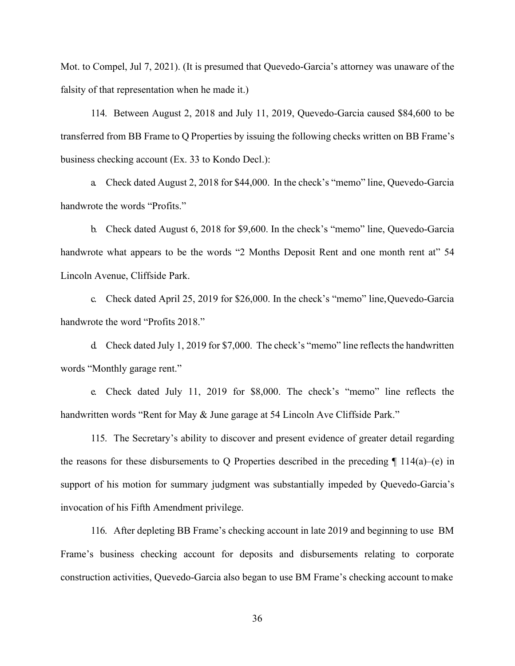Mot. to Compel, Jul 7, 2021). (It is presumed that Quevedo-Garcia's attorney was unaware of the falsity of that representation when he made it.)

114. Between August 2, 2018 and July 11, 2019, Quevedo-Garcia caused \$84,600 to be transferred from BB Frame to Q Properties by issuing the following checks written on BB Frame's business checking account (Ex. 33 to Kondo Decl.):

a. Check dated August 2, 2018 for \$44,000. In the check's "memo" line, Quevedo-Garcia handwrote the words "Profits."

b. Check dated August 6, 2018 for \$9,600. In the check's "memo" line, Quevedo-Garcia handwrote what appears to be the words "2 Months Deposit Rent and one month rent at" 54 Lincoln Avenue, Cliffside Park.

c. Check dated April 25, 2019 for \$26,000. In the check's "memo" line,Quevedo-Garcia handwrote the word "Profits 2018."

d. Check dated July 1, 2019 for \$7,000. The check's "memo" line reflects the handwritten words "Monthly garage rent."

e. Check dated July 11, 2019 for \$8,000. The check's "memo" line reflects the handwritten words "Rent for May & June garage at 54 Lincoln Ave Cliffside Park."

115. The Secretary's ability to discover and present evidence of greater detail regarding the reasons for these disbursements to Q Properties described in the preceding  $\P$  114(a)–(e) in support of his motion for summary judgment was substantially impeded by Quevedo-Garcia's invocation of his Fifth Amendment privilege.

116. After depleting BB Frame's checking account in late 2019 and beginning to use BM Frame's business checking account for deposits and disbursements relating to corporate construction activities, Quevedo-Garcia also began to use BM Frame's checking account tomake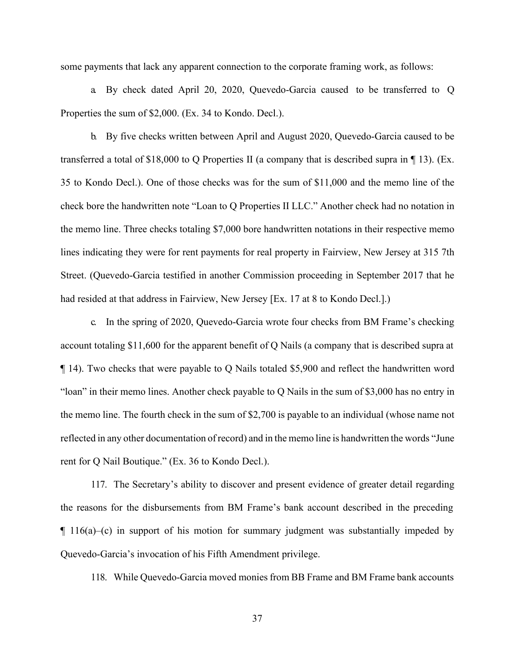some payments that lack any apparent connection to the corporate framing work, as follows:

a. By check dated April 20, 2020, Quevedo-Garcia caused to be transferred to Q Properties the sum of \$2,000. (Ex. 34 to Kondo. Decl.).

b. By five checks written between April and August 2020, Quevedo-Garcia caused to be transferred a total of \$18,000 to Q Properties II (a company that is described supra in  $\P$  13). (Ex. 35 to Kondo Decl.). One of those checks was for the sum of \$11,000 and the memo line of the check bore the handwritten note "Loan to Q Properties II LLC." Another check had no notation in the memo line. Three checks totaling \$7,000 bore handwritten notations in their respective memo lines indicating they were for rent payments for real property in Fairview, New Jersey at 315 7th Street. (Quevedo-Garcia testified in another Commission proceeding in September 2017 that he had resided at that address in Fairview, New Jersey [Ex. 17 at 8 to Kondo Decl.].)

c. In the spring of 2020, Quevedo-Garcia wrote four checks from BM Frame's checking account totaling \$11,600 for the apparent benefit of Q Nails (a company that is described supra at ¶ 14). Two checks that were payable to Q Nails totaled \$5,900 and reflect the handwritten word "loan" in their memo lines. Another check payable to Q Nails in the sum of \$3,000 has no entry in the memo line. The fourth check in the sum of \$2,700 is payable to an individual (whose name not reflected in any other documentation of record) and in the memo line is handwritten the words "June rent for Q Nail Boutique." (Ex. 36 to Kondo Decl.).

117. The Secretary's ability to discover and present evidence of greater detail regarding the reasons for the disbursements from BM Frame's bank account described in the preceding  $\parallel$  116(a)–(c) in support of his motion for summary judgment was substantially impeded by Quevedo-Garcia's invocation of his Fifth Amendment privilege.

118. While Quevedo-Garcia moved monies from BB Frame and BM Frame bank accounts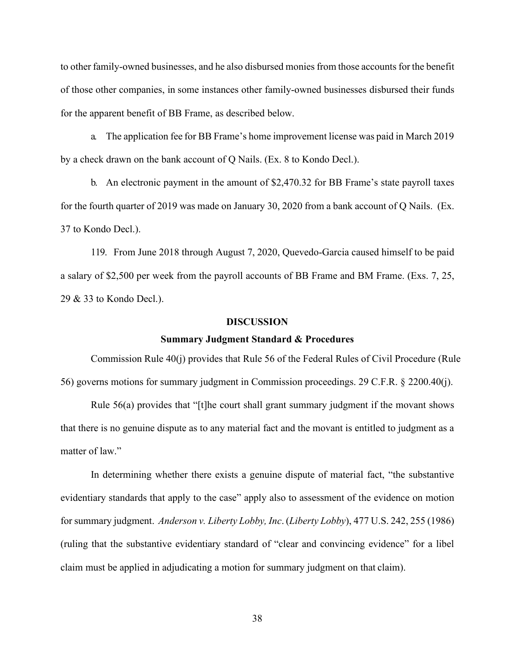to other family-owned businesses, and he also disbursed moniesfrom those accountsfor the benefit of those other companies, in some instances other family-owned businesses disbursed their funds for the apparent benefit of BB Frame, as described below.

a. The application fee for BB Frame's home improvement license was paid in March 2019 by a check drawn on the bank account of Q Nails. (Ex. 8 to Kondo Decl.).

b. An electronic payment in the amount of \$2,470.32 for BB Frame's state payroll taxes for the fourth quarter of 2019 was made on January 30, 2020 from a bank account of Q Nails. (Ex. 37 to Kondo Decl.).

119. From June 2018 through August 7, 2020, Quevedo-Garcia caused himself to be paid a salary of \$2,500 per week from the payroll accounts of BB Frame and BM Frame. (Exs. 7, 25, 29 & 33 to Kondo Decl.).

### **DISCUSSION**

### **Summary Judgment Standard & Procedures**

Commission Rule 40(j) provides that Rule 56 of the Federal Rules of Civil Procedure (Rule 56) governs motions for summary judgment in Commission proceedings. 29 C.F.R. § 2200.40(j).

Rule 56(a) provides that "[t]he court shall grant summary judgment if the movant shows that there is no genuine dispute as to any material fact and the movant is entitled to judgment as a matter of law."

In determining whether there exists a genuine dispute of material fact, "the substantive evidentiary standards that apply to the case" apply also to assessment of the evidence on motion for summary judgment. *Anderson v. Liberty Lobby, Inc*. (*Liberty Lobby*), 477 U.S. 242, 255 (1986) (ruling that the substantive evidentiary standard of "clear and convincing evidence" for a libel claim must be applied in adjudicating a motion for summary judgment on that claim).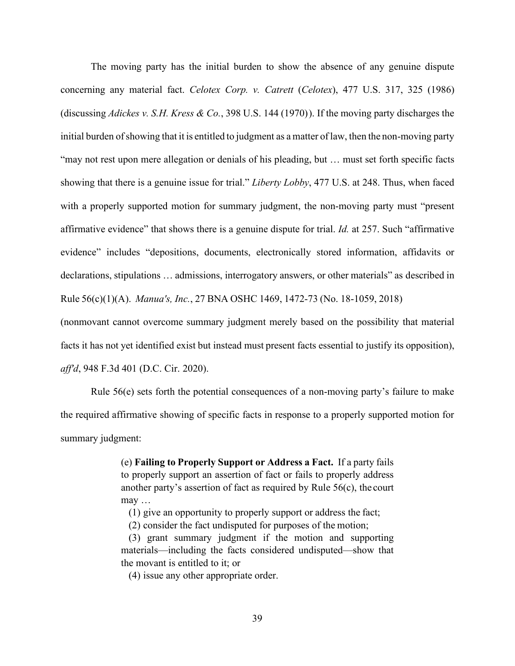The moving party has the initial burden to show the absence of any genuine dispute concerning any material fact. *Celotex Corp. v. Catrett* (*Celotex*), 477 U.S. 317, 325 (1986) (discussing *Adickes v. S.H. Kress & Co.*, 398 U.S. 144 (1970) ). If the moving party discharges the initial burden ofshowing that it is entitled to judgment as a matter of law, then the non-moving party "may not rest upon mere allegation or denials of his pleading, but … must set forth specific facts showing that there is a genuine issue for trial." *Liberty Lobby*, 477 U.S. at 248. Thus, when faced with a properly supported motion for summary judgment, the non-moving party must "present affirmative evidence" that shows there is a genuine dispute for trial. *Id.* at 257. Such "affirmative evidence" includes "depositions, documents, electronically stored information, affidavits or declarations, stipulations … admissions, interrogatory answers, or other materials" as described in Rule 56(c)(1)(A). *Manua's, Inc.*, 27 BNA OSHC 1469, 1472-73 (No. 18-1059, 2018)

(nonmovant cannot overcome summary judgment merely based on the possibility that material facts it has not yet identified exist but instead must present facts essential to justify its opposition), *aff'd*, 948 F.3d 401 (D.C. Cir. 2020).

Rule 56(e) sets forth the potential consequences of a non-moving party's failure to make the required affirmative showing of specific facts in response to a properly supported motion for summary judgment:

> (e) **Failing to Properly Support or Address a Fact.** If a party fails to properly support an assertion of fact or fails to properly address another party's assertion of fact as required by Rule 56(c), the court may …

(1) give an opportunity to properly support or address the fact;

(2) consider the fact undisputed for purposes of the motion;

(3) grant summary judgment if the motion and supporting materials—including the facts considered undisputed—show that the movant is entitled to it; or

(4) issue any other appropriate order.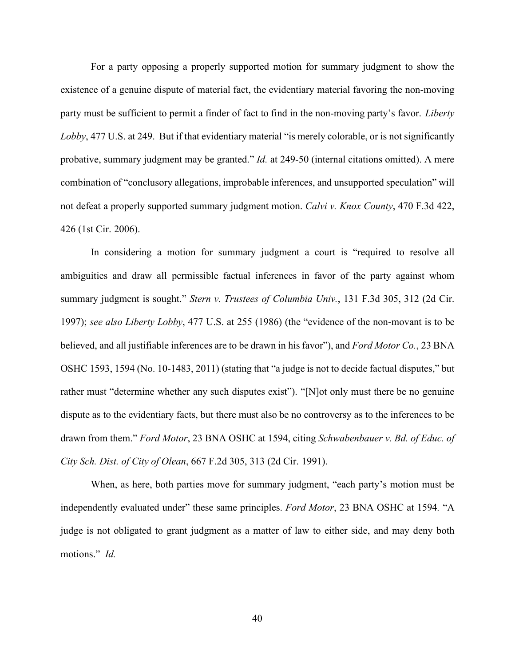For a party opposing a properly supported motion for summary judgment to show the existence of a genuine dispute of material fact, the evidentiary material favoring the non-moving party must be sufficient to permit a finder of fact to find in the non-moving party's favor. *Liberty Lobby*, 477 U.S. at 249. But if that evidentiary material "is merely colorable, or is not significantly probative, summary judgment may be granted." *Id.* at 249-50 (internal citations omitted). A mere combination of "conclusory allegations, improbable inferences, and unsupported speculation" will not defeat a properly supported summary judgment motion. *Calvi v. Knox County*, 470 F.3d 422, 426 (1st Cir. 2006).

In considering a motion for summary judgment a court is "required to resolve all ambiguities and draw all permissible factual inferences in favor of the party against whom summary judgment is sought." *Stern v. Trustees of Columbia Univ.*, 131 F.3d 305, 312 (2d Cir. 1997); *see also Liberty Lobby*, 477 U.S. at 255 (1986) (the "evidence of the non-movant is to be believed, and all justifiable inferences are to be drawn in hisfavor"), and *Ford Motor Co.*, 23 BNA OSHC 1593, 1594 (No. 10-1483, 2011) (stating that "a judge is not to decide factual disputes," but rather must "determine whether any such disputes exist"). "[N]ot only must there be no genuine dispute as to the evidentiary facts, but there must also be no controversy as to the inferences to be drawn from them." *Ford Motor*, 23 BNA OSHC at 1594, citing *Schwabenbauer v. Bd. of Educ. of City Sch. Dist. of City of Olean*, 667 F.2d 305, 313 (2d Cir. 1991).

When, as here, both parties move for summary judgment, "each party's motion must be independently evaluated under" these same principles. *Ford Motor*, 23 BNA OSHC at 1594*.* "A judge is not obligated to grant judgment as a matter of law to either side, and may deny both motions." *Id.*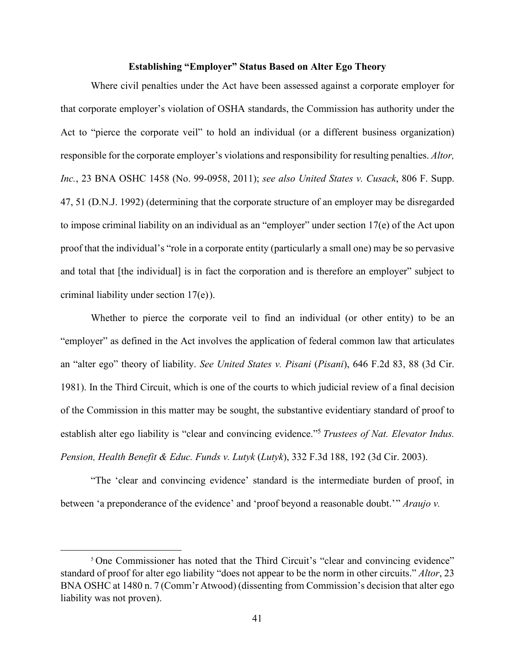### **Establishing "Employer" Status Based on Alter Ego Theory**

Where civil penalties under the Act have been assessed against a corporate employer for that corporate employer's violation of OSHA standards, the Commission has authority under the Act to "pierce the corporate veil" to hold an individual (or a different business organization) responsible for the corporate employer's violations and responsibility for resulting penalties. *Altor, Inc.*, 23 BNA OSHC 1458 (No. 99-0958, 2011); *see also United States v. Cusack*, 806 F. Supp. 47, 51 (D.N.J. 1992) (determining that the corporate structure of an employer may be disregarded to impose criminal liability on an individual as an "employer" under section 17(e) of the Act upon proof that the individual's "role in a corporate entity (particularly a small one) may be so pervasive and total that [the individual] is in fact the corporation and is therefore an employer" subject to criminal liability under section 17(e) ).

Whether to pierce the corporate veil to find an individual (or other entity) to be an "employer" as defined in the Act involves the application of federal common law that articulates an "alter ego" theory of liability. *See United States v. Pisani* (*Pisani*), 646 F.2d 83, 88 (3d Cir. 1981). In the Third Circuit, which is one of the courts to which judicial review of a final decision of the Commission in this matter may be sought, the substantive evidentiary standard of proof to establish alter ego liability is "clear and convincing evidence.["5](#page-42-0) *Trustees of Nat. Elevator Indus. Pension, Health Benefit & Educ. Funds v. Lutyk* (*Lutyk*), 332 F.3d 188, 192 (3d Cir. 2003).

"The 'clear and convincing evidence' standard is the intermediate burden of proof, in between 'a preponderance of the evidence' and 'proof beyond a reasonable doubt.'" *Araujo v.* 

<span id="page-42-0"></span><sup>&</sup>lt;sup>5</sup> One Commissioner has noted that the Third Circuit's "clear and convincing evidence" standard of proof for alter ego liability "does not appear to be the norm in other circuits." *Altor*, 23 BNA OSHC at 1480 n. 7 (Comm'r Atwood) (dissenting from Commission's decision that alter ego liability was not proven).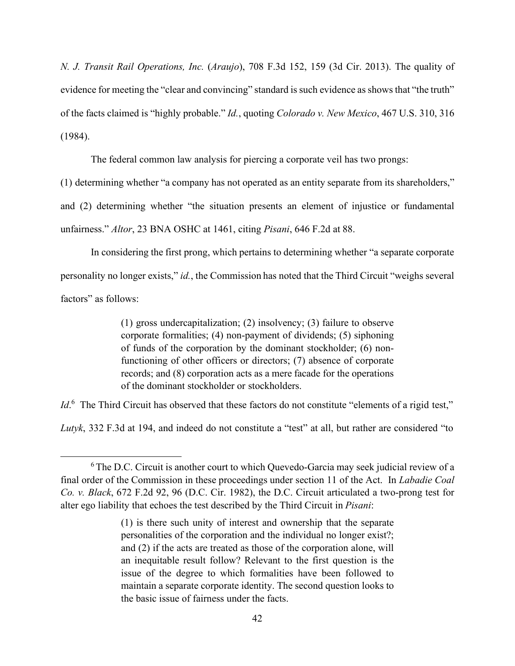*N. J. Transit Rail Operations, Inc.* (*Araujo*), 708 F.3d 152, 159 (3d Cir. 2013). The quality of evidence for meeting the "clear and convincing" standard is such evidence as shows that "the truth" of the facts claimed is "highly probable." *Id.*, quoting *Colorado v. New Mexico*, 467 U.S. 310, 316 (1984).

The federal common law analysis for piercing a corporate veil has two prongs:

(1) determining whether "a company has not operated as an entity separate from its shareholders,"

and (2) determining whether "the situation presents an element of injustice or fundamental unfairness." *Altor*, 23 BNA OSHC at 1461, citing *Pisani*, 646 F.2d at 88.

In considering the first prong, which pertains to determining whether "a separate corporate personality no longer exists," *id.*, the Commission has noted that the Third Circuit "weighs several factors" as follows:

> (1) gross undercapitalization; (2) insolvency; (3) failure to observe corporate formalities; (4) non-payment of dividends; (5) siphoning of funds of the corporation by the dominant stockholder; (6) nonfunctioning of other officers or directors; (7) absence of corporate records; and (8) corporation acts as a mere facade for the operations of the dominant stockholder or stockholders.

*Id*.<sup>6</sup> The Third Circuit has observed that these factors do not constitute "elements of a rigid test,"

*Lutyk*, 332 F.3d at 194, and indeed do not constitute a "test" at all, but rather are considered "to

<span id="page-43-0"></span><sup>&</sup>lt;sup>6</sup> The D.C. Circuit is another court to which Quevedo-Garcia may seek judicial review of a final order of the Commission in these proceedings under section 11 of the Act. In *Labadie Coal Co. v. Black*, 672 F.2d 92, 96 (D.C. Cir. 1982), the D.C. Circuit articulated a two-prong test for alter ego liability that echoes the test described by the Third Circuit in *Pisani*:

<sup>(1)</sup> is there such unity of interest and ownership that the separate personalities of the corporation and the individual no longer exist?; and (2) if the acts are treated as those of the corporation alone, will an inequitable result follow? Relevant to the first question is the issue of the degree to which formalities have been followed to maintain a separate corporate identity. The second question looks to the basic issue of fairness under the facts.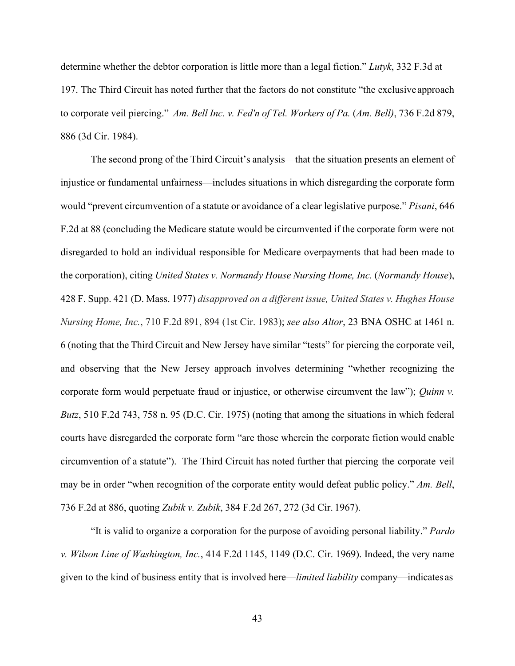determine whether the debtor corporation is little more than a legal fiction." *Lutyk*, 332 F.3d at 197. The Third Circuit has noted further that the factors do not constitute "the exclusive approach to corporate veil piercing." *Am. Bell Inc. v. Fed'n of Tel. Workers of Pa.* (*Am. Bell)*, 736 F.2d 879, 886 (3d Cir. 1984).

The second prong of the Third Circuit's analysis—that the situation presents an element of injustice or fundamental unfairness—includes situations in which disregarding the corporate form would "prevent circumvention of a statute or avoidance of a clear legislative purpose." *Pisani*, 646 F.2d at 88 (concluding the Medicare statute would be circumvented if the corporate form were not disregarded to hold an individual responsible for Medicare overpayments that had been made to the corporation), citing *United States v. Normandy House Nursing Home, Inc.* (*Normandy House*), 428 F. Supp. 421 (D. Mass. 1977) *disapproved on a different issue, United States v. Hughes House Nursing Home, Inc.*, 710 F.2d 891, 894 (1st Cir. 1983); *see also Altor*, 23 BNA OSHC at 1461 n. 6 (noting that the Third Circuit and New Jersey have similar "tests" for piercing the corporate veil, and observing that the New Jersey approach involves determining "whether recognizing the corporate form would perpetuate fraud or injustice, or otherwise circumvent the law"); *Quinn v. Butz*, 510 F.2d 743, 758 n. 95 (D.C. Cir. 1975) (noting that among the situations in which federal courts have disregarded the corporate form "are those wherein the corporate fiction would enable circumvention of a statute"). The Third Circuit has noted further that piercing the corporate veil may be in order "when recognition of the corporate entity would defeat public policy." *Am. Bell*, 736 F.2d at 886, quoting *Zubik v. Zubik*, 384 F.2d 267, 272 (3d Cir. 1967).

"It is valid to organize a corporation for the purpose of avoiding personal liability." *Pardo v. Wilson Line of Washington, Inc.*, 414 F.2d 1145, 1149 (D.C. Cir. 1969). Indeed, the very name given to the kind of business entity that is involved here––*limited liability* company––indicates as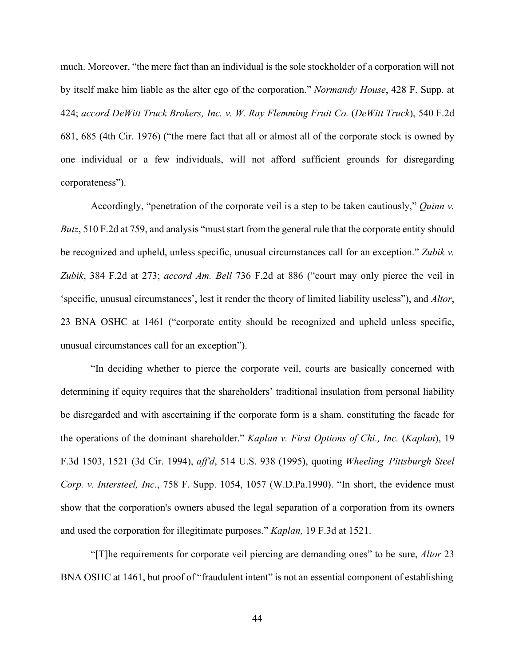much. Moreover, "the mere fact than an individual is the sole stockholder of a corporation will not by itself make him liable as the alter ego of the corporation." *Normandy House*, 428 F. Supp. at 424; *accord DeWitt Truck Brokers, Inc. v. W. Ray Flemming Fruit Co.* (*DeWitt Truck*), 540 F.2d 681, 685 (4th Cir. 1976) ("the mere fact that all or almost all of the corporate stock is owned by one individual or a few individuals, will not afford sufficient grounds for disregarding corporateness").

Accordingly, "penetration of the corporate veil is a step to be taken cautiously," *Quinn v. Butz*, 510 F.2d at 759, and analysis "must start from the general rule that the corporate entity should be recognized and upheld, unless specific, unusual circumstances call for an exception." *Zubik v. Zubik*, 384 F.2d at 273; *accord Am. Bell* 736 F.2d at 886 ("court may only pierce the veil in 'specific, unusual circumstances', lest it render the theory of limited liability useless"), and *Altor*, 23 BNA OSHC at 1461 ("corporate entity should be recognized and upheld unless specific, unusual circumstances call for an exception").

"In deciding whether to pierce the corporate veil, courts are basically concerned with determining if equity requires that the shareholders' traditional insulation from personal liability be disregarded and with ascertaining if the corporate form is a sham, constituting the facade for the operations of the dominant shareholder." *Kaplan v. First Options of Chi., Inc.* (*Kaplan*), 19 F.3d 1503, 1521 (3d Cir. 1994), *aff'd*, 514 U.S. 938 (1995), quoting *Wheeling–Pittsburgh Steel Corp. v. Intersteel, Inc.*, 758 F. Supp. 1054, 1057 (W.D.Pa.1990). "In short, the evidence must show that the corporation's owners abused the legal separation of a corporation from its owners and used the corporation for illegitimate purposes." *Kaplan,* 19 F.3d at 1521.

"[T]he requirements for corporate veil piercing are demanding ones" to be sure, *Altor* 23 BNA OSHC at 1461, but proof of "fraudulent intent" is not an essential component of establishing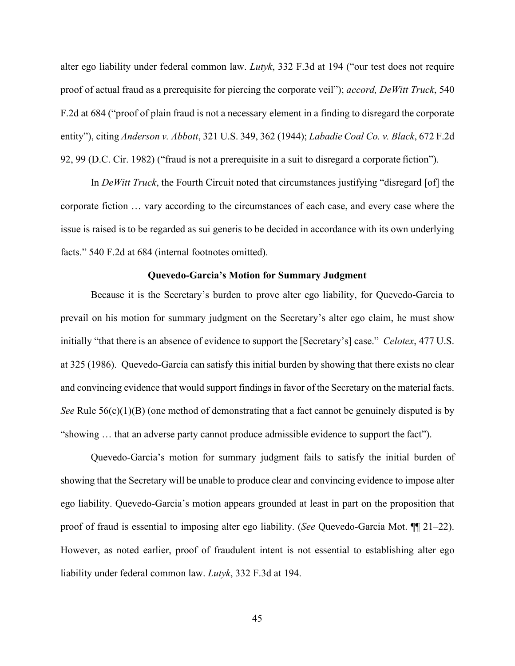alter ego liability under federal common law. *Lutyk*, 332 F.3d at 194 ("our test does not require proof of actual fraud as a prerequisite for piercing the corporate veil"); *accord, DeWitt Truck*, 540 F.2d at 684 ("proof of plain fraud is not a necessary element in a finding to disregard the corporate entity"), citing *Anderson v. Abbott*, 321 U.S. 349, 362 (1944); *Labadie Coal Co. v. Black*, 672 F.2d 92, 99 (D.C. Cir. 1982) ("fraud is not a prerequisite in a suit to disregard a corporate fiction").

In *DeWitt Truck*, the Fourth Circuit noted that circumstances justifying "disregard [of] the corporate fiction … vary according to the circumstances of each case, and every case where the issue is raised is to be regarded as sui generis to be decided in accordance with its own underlying facts." 540 F.2d at 684 (internal footnotes omitted).

### **Quevedo-Garcia's Motion for Summary Judgment**

Because it is the Secretary's burden to prove alter ego liability, for Quevedo-Garcia to prevail on his motion for summary judgment on the Secretary's alter ego claim, he must show initially "that there is an absence of evidence to support the [Secretary's] case." *Celotex*, 477 U.S. at 325 (1986). Quevedo-Garcia can satisfy this initial burden by showing that there exists no clear and convincing evidence that would support findings in favor of the Secretary on the material facts. *See* Rule 56(c)(1)(B) (one method of demonstrating that a fact cannot be genuinely disputed is by "showing … that an adverse party cannot produce admissible evidence to support the fact").

Quevedo-Garcia's motion for summary judgment fails to satisfy the initial burden of showing that the Secretary will be unable to produce clear and convincing evidence to impose alter ego liability. Quevedo-Garcia's motion appears grounded at least in part on the proposition that proof of fraud is essential to imposing alter ego liability. (*See* Quevedo-Garcia Mot. ¶¶ 21–22). However, as noted earlier, proof of fraudulent intent is not essential to establishing alter ego liability under federal common law. *Lutyk*, 332 F.3d at 194.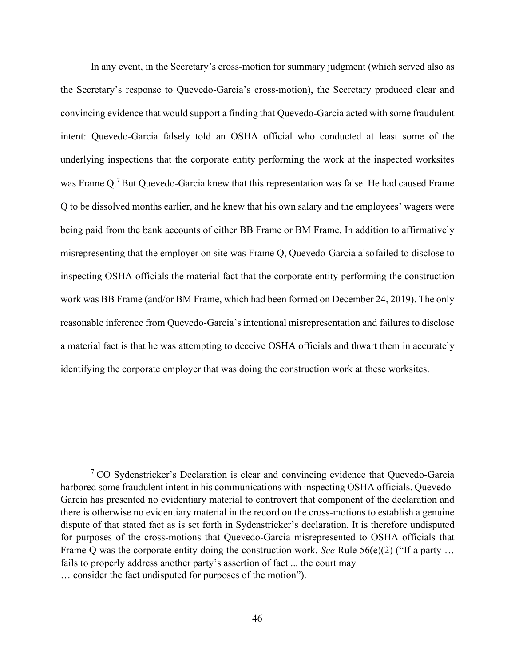In any event, in the Secretary's cross-motion for summary judgment (which served also as the Secretary's response to Quevedo-Garcia's cross-motion), the Secretary produced clear and convincing evidence that would support a finding that Quevedo-Garcia acted with some fraudulent intent: Quevedo-Garcia falsely told an OSHA official who conducted at least some of the underlying inspections that the corporate entity performing the work at the inspected worksites was Frame Q.<sup>7</sup> But Quevedo-Garcia knew that this representation was false. He had caused Frame Q to be dissolved months earlier, and he knew that his own salary and the employees' wagers were being paid from the bank accounts of either BB Frame or BM Frame. In addition to affirmatively misrepresenting that the employer on site was Frame Q, Quevedo-Garcia alsofailed to disclose to inspecting OSHA officials the material fact that the corporate entity performing the construction work was BB Frame (and/or BM Frame, which had been formed on December 24, 2019). The only reasonable inference from Quevedo-Garcia's intentional misrepresentation and failures to disclose a material fact is that he was attempting to deceive OSHA officials and thwart them in accurately identifying the corporate employer that was doing the construction work at these worksites.

<span id="page-47-0"></span> $7 \text{CO}$  Sydenstricker's Declaration is clear and convincing evidence that Quevedo-Garcia harbored some fraudulent intent in his communications with inspecting OSHA officials. Quevedo-Garcia has presented no evidentiary material to controvert that component of the declaration and there is otherwise no evidentiary material in the record on the cross-motions to establish a genuine dispute of that stated fact as is set forth in Sydenstricker's declaration. It is therefore undisputed for purposes of the cross-motions that Quevedo-Garcia misrepresented to OSHA officials that Frame Q was the corporate entity doing the construction work. *See* Rule 56(e)(2) ("If a party … fails to properly address another party's assertion of fact ... the court may … consider the fact undisputed for purposes of the motion").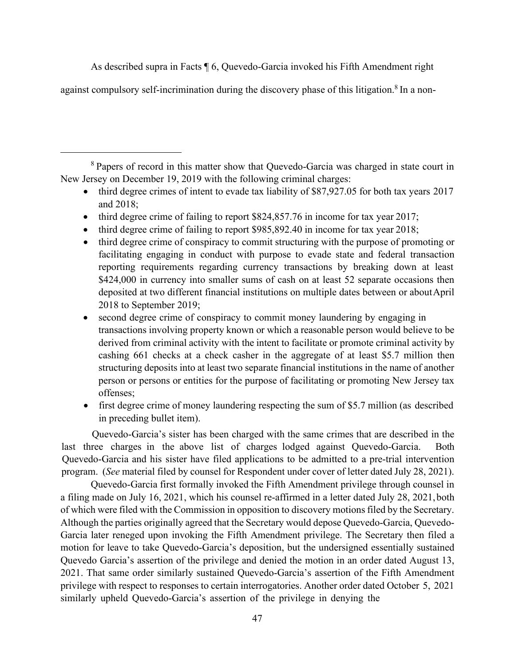As described supra in Facts ¶ 6, Quevedo-Garcia invoked his Fifth Amendment right

against compulsory self-incrimination during the discovery phase of this litigation.<sup>8</sup> In a non-

<span id="page-48-0"></span><sup>8</sup> Papers of record in this matter show that Quevedo-Garcia was charged in state court in New Jersey on December 19, 2019 with the following criminal charges:

- third degree crimes of intent to evade tax liability of \$87,927.05 for both tax years 2017 and 2018;
- third degree crime of failing to report \$824,857.76 in income for tax year 2017;
- third degree crime of failing to report \$985,892.40 in income for tax year 2018;
- third degree crime of conspiracy to commit structuring with the purpose of promoting or facilitating engaging in conduct with purpose to evade state and federal transaction reporting requirements regarding currency transactions by breaking down at least \$424,000 in currency into smaller sums of cash on at least 52 separate occasions then deposited at two different financial institutions on multiple dates between or aboutApril 2018 to September 2019;
- second degree crime of conspiracy to commit money laundering by engaging in transactions involving property known or which a reasonable person would believe to be derived from criminal activity with the intent to facilitate or promote criminal activity by cashing 661 checks at a check casher in the aggregate of at least \$5.7 million then structuring deposits into at least two separate financial institutions in the name of another person or persons or entities for the purpose of facilitating or promoting New Jersey tax offenses;
- first degree crime of money laundering respecting the sum of \$5.7 million (as described in preceding bullet item).

Quevedo-Garcia's sister has been charged with the same crimes that are described in the last three charges in the above list of charges lodged against Quevedo-Garcia. Both Quevedo-Garcia and his sister have filed applications to be admitted to a pre-trial intervention program. (*See* material filed by counsel for Respondent under cover of letter dated July 28, 2021).

Quevedo-Garcia first formally invoked the Fifth Amendment privilege through counsel in a filing made on July 16, 2021, which his counsel re-affirmed in a letter dated July 28, 2021,both of which were filed with the Commission in opposition to discovery motionsfiled by the Secretary. Although the parties originally agreed that the Secretary would depose Quevedo-Garcia, Quevedo-Garcia later reneged upon invoking the Fifth Amendment privilege. The Secretary then filed a motion for leave to take Quevedo-Garcia's deposition, but the undersigned essentially sustained Quevedo Garcia's assertion of the privilege and denied the motion in an order dated August 13, 2021. That same order similarly sustained Quevedo-Garcia's assertion of the Fifth Amendment privilege with respect to responses to certain interrogatories. Another order dated October 5, 2021 similarly upheld Quevedo-Garcia's assertion of the privilege in denying the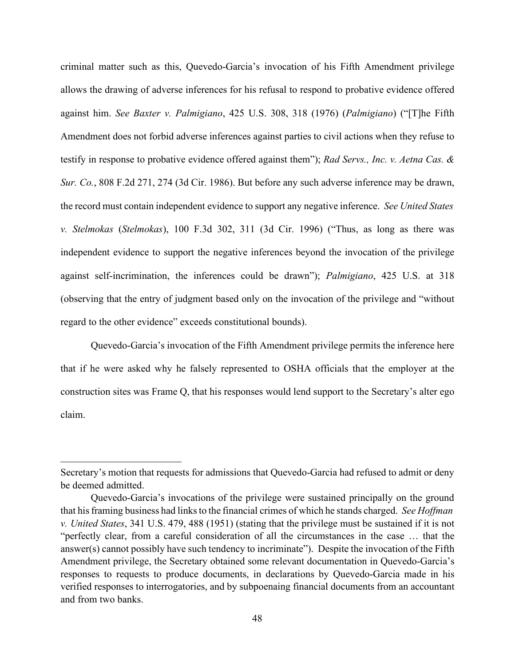criminal matter such as this, Quevedo-Garcia's invocation of his Fifth Amendment privilege allows the drawing of adverse inferences for his refusal to respond to probative evidence offered against him. *See Baxter v. Palmigiano*, 425 U.S. 308, 318 (1976) (*Palmigiano*) ("[T]he Fifth Amendment does not forbid adverse inferences against parties to civil actions when they refuse to testify in response to probative evidence offered against them"); *Rad Servs., Inc. v. Aetna Cas. & Sur. Co.*, 808 F.2d 271, 274 (3d Cir. 1986). But before any such adverse inference may be drawn, the record must contain independent evidence to support any negative inference. *See United States v. Stelmokas* (*Stelmokas*), 100 F.3d 302, 311 (3d Cir. 1996) ("Thus, as long as there was independent evidence to support the negative inferences beyond the invocation of the privilege against self-incrimination, the inferences could be drawn"); *Palmigiano*, 425 U.S. at 318 (observing that the entry of judgment based only on the invocation of the privilege and "without regard to the other evidence" exceeds constitutional bounds).

Quevedo-Garcia's invocation of the Fifth Amendment privilege permits the inference here that if he were asked why he falsely represented to OSHA officials that the employer at the construction sites was Frame Q, that his responses would lend support to the Secretary's alter ego claim.

Secretary's motion that requests for admissions that Quevedo-Garcia had refused to admit or deny be deemed admitted.

Quevedo-Garcia's invocations of the privilege were sustained principally on the ground that hisframing business had linksto the financial crimes of which he stands charged. *See Hoffman v. United States*, 341 U.S. 479, 488 (1951) (stating that the privilege must be sustained if it is not "perfectly clear, from a careful consideration of all the circumstances in the case … that the answer(s) cannot possibly have such tendency to incriminate"). Despite the invocation of the Fifth Amendment privilege, the Secretary obtained some relevant documentation in Quevedo-Garcia's responses to requests to produce documents, in declarations by Quevedo-Garcia made in his verified responses to interrogatories, and by subpoenaing financial documents from an accountant and from two banks.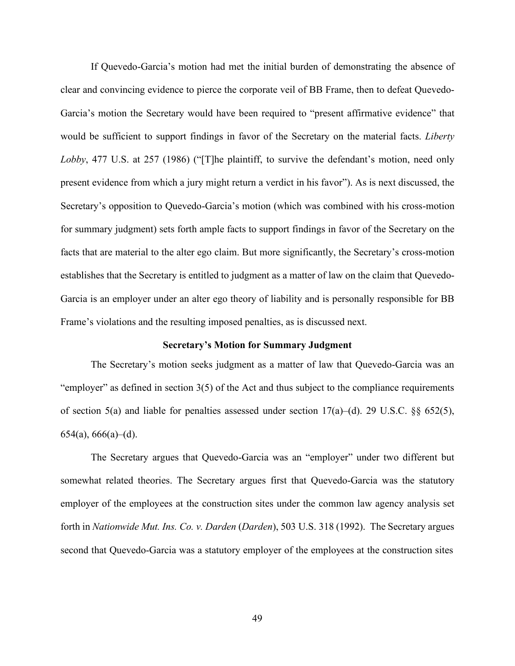If Quevedo-Garcia's motion had met the initial burden of demonstrating the absence of clear and convincing evidence to pierce the corporate veil of BB Frame, then to defeat Quevedo-Garcia's motion the Secretary would have been required to "present affirmative evidence" that would be sufficient to support findings in favor of the Secretary on the material facts. *Liberty Lobby*, 477 U.S. at 257 (1986) ("[T]he plaintiff, to survive the defendant's motion, need only present evidence from which a jury might return a verdict in his favor"). As is next discussed, the Secretary's opposition to Quevedo-Garcia's motion (which was combined with his cross-motion for summary judgment) sets forth ample facts to support findings in favor of the Secretary on the facts that are material to the alter ego claim. But more significantly, the Secretary's cross-motion establishes that the Secretary is entitled to judgment as a matter of law on the claim that Quevedo-Garcia is an employer under an alter ego theory of liability and is personally responsible for BB Frame's violations and the resulting imposed penalties, as is discussed next.

### **Secretary's Motion for Summary Judgment**

The Secretary's motion seeks judgment as a matter of law that Quevedo-Garcia was an "employer" as defined in section 3(5) of the Act and thus subject to the compliance requirements of section 5(a) and liable for penalties assessed under section  $17(a)$ –(d). 29 U.S.C. §§ 652(5),  $654(a)$ ,  $666(a)$ – $(d)$ .

The Secretary argues that Quevedo-Garcia was an "employer" under two different but somewhat related theories. The Secretary argues first that Quevedo-Garcia was the statutory employer of the employees at the construction sites under the common law agency analysis set forth in *Nationwide Mut. Ins. Co. v. Darden* (*Darden*), 503 U.S. 318 (1992). The Secretary argues second that Quevedo-Garcia was a statutory employer of the employees at the construction sites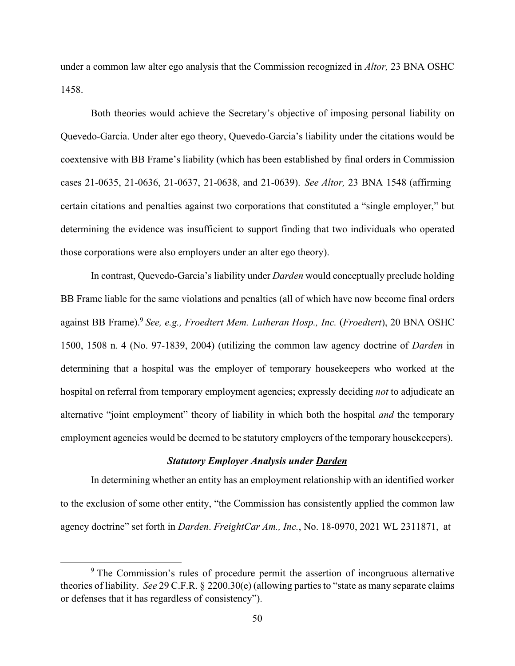under a common law alter ego analysis that the Commission recognized in *Altor,* 23 BNA OSHC 1458.

Both theories would achieve the Secretary's objective of imposing personal liability on Quevedo-Garcia. Under alter ego theory, Quevedo-Garcia's liability under the citations would be coextensive with BB Frame's liability (which has been established by final orders in Commission cases 21-0635, 21-0636, 21-0637, 21-0638, and 21-0639). *See Altor,* 23 BNA 1548 (affirming certain citations and penalties against two corporations that constituted a "single employer," but determining the evidence was insufficient to support finding that two individuals who operated those corporations were also employers under an alter ego theory).

In contrast, Quevedo-Garcia's liability under *Darden* would conceptually preclude holding BB Frame liable for the same violations and penalties (all of which have now become final orders against BB Frame).[9](#page-51-0) *See, e.g., Froedtert Mem. Lutheran Hosp., Inc.* (*Froedtert*), 20 BNA OSHC 1500, 1508 n. 4 (No. 97-1839, 2004) (utilizing the common law agency doctrine of *Darden* in determining that a hospital was the employer of temporary housekeepers who worked at the hospital on referral from temporary employment agencies; expressly deciding *not* to adjudicate an alternative "joint employment" theory of liability in which both the hospital *and* the temporary employment agencies would be deemed to be statutory employers of the temporary housekeepers).

## *Statutory Employer Analysis under Darden*

In determining whether an entity has an employment relationship with an identified worker to the exclusion of some other entity, "the Commission has consistently applied the common law agency doctrine" set forth in *Darden*. *FreightCar Am., Inc.*, No. 18-0970, 2021 WL 2311871, at

<span id="page-51-0"></span><sup>&</sup>lt;sup>9</sup> The Commission's rules of procedure permit the assertion of incongruous alternative theories of liability. *See* 29 C.F.R. § 2200.30(e) (allowing partiesto "state as many separate claims or defenses that it has regardless of consistency").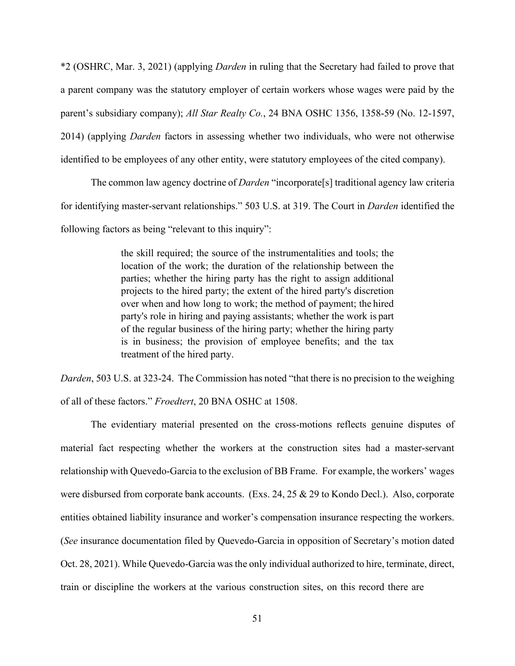\*2 (OSHRC, Mar. 3, 2021) (applying *Darden* in ruling that the Secretary had failed to prove that a parent company was the statutory employer of certain workers whose wages were paid by the parent's subsidiary company); *All Star Realty Co.*, 24 BNA OSHC 1356, 1358-59 (No. 12-1597, 2014) (applying *Darden* factors in assessing whether two individuals, who were not otherwise identified to be employees of any other entity, were statutory employees of the cited company).

The common law agency doctrine of *Darden* "incorporate[s] traditional agency law criteria for identifying master-servant relationships." 503 U.S. at 319. The Court in *Darden* identified the following factors as being "relevant to this inquiry":

> the skill required; the source of the instrumentalities and tools; the location of the work; the duration of the relationship between the parties; whether the hiring party has the right to assign additional projects to the hired party; the extent of the hired party's discretion over when and how long to work; the method of payment; the hired party's role in hiring and paying assistants; whether the work is part of the regular business of the hiring party; whether the hiring party is in business; the provision of employee benefits; and the tax treatment of the hired party.

*Darden*, 503 U.S. at 323-24. The Commission has noted "that there is no precision to the weighing of all of these factors." *Froedtert*, 20 BNA OSHC at 1508.

The evidentiary material presented on the cross-motions reflects genuine disputes of material fact respecting whether the workers at the construction sites had a master-servant relationship with Quevedo-Garcia to the exclusion of BB Frame. For example, the workers' wages were disbursed from corporate bank accounts. (Exs. 24, 25 & 29 to Kondo Decl.). Also, corporate entities obtained liability insurance and worker's compensation insurance respecting the workers. (*See* insurance documentation filed by Quevedo-Garcia in opposition of Secretary's motion dated Oct. 28, 2021). While Quevedo-Garcia was the only individual authorized to hire, terminate, direct, train or discipline the workers at the various construction sites, on this record there are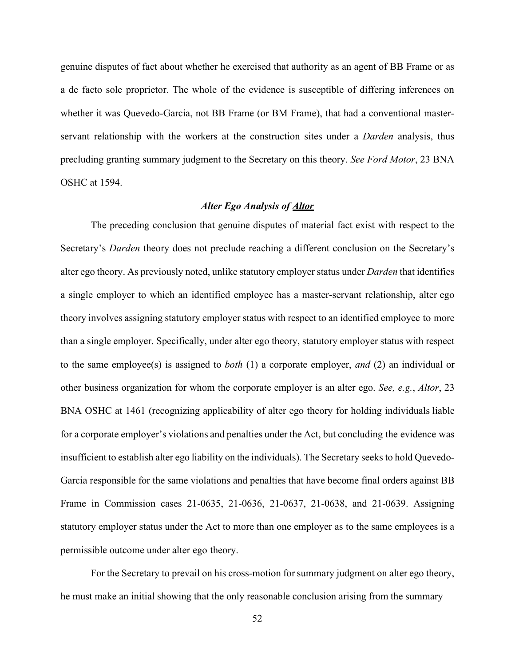genuine disputes of fact about whether he exercised that authority as an agent of BB Frame or as a de facto sole proprietor. The whole of the evidence is susceptible of differing inferences on whether it was Quevedo-Garcia, not BB Frame (or BM Frame), that had a conventional masterservant relationship with the workers at the construction sites under a *Darden* analysis, thus precluding granting summary judgment to the Secretary on this theory. *See Ford Motor*, 23 BNA OSHC at 1594.

## *Alter Ego Analysis of Altor*

The preceding conclusion that genuine disputes of material fact exist with respect to the Secretary's *Darden* theory does not preclude reaching a different conclusion on the Secretary's alter ego theory. As previously noted, unlike statutory employer status under *Darden* that identifies a single employer to which an identified employee has a master-servant relationship, alter ego theory involves assigning statutory employer status with respect to an identified employee to more than a single employer. Specifically, under alter ego theory, statutory employer status with respect to the same employee(s) is assigned to *both* (1) a corporate employer, *and* (2) an individual or other business organization for whom the corporate employer is an alter ego. *See, e.g.*, *Altor*, 23 BNA OSHC at 1461 (recognizing applicability of alter ego theory for holding individuals liable for a corporate employer's violations and penalties under the Act, but concluding the evidence was insufficient to establish alter ego liability on the individuals). The Secretary seeks to hold Quevedo-Garcia responsible for the same violations and penalties that have become final orders against BB Frame in Commission cases 21-0635, 21-0636, 21-0637, 21-0638, and 21-0639. Assigning statutory employer status under the Act to more than one employer as to the same employees is a permissible outcome under alter ego theory.

For the Secretary to prevail on his cross-motion for summary judgment on alter ego theory, he must make an initial showing that the only reasonable conclusion arising from the summary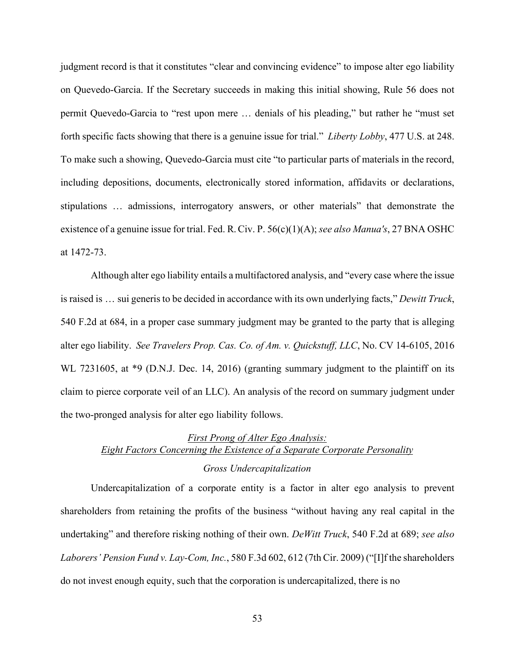judgment record is that it constitutes "clear and convincing evidence" to impose alter ego liability on Quevedo-Garcia. If the Secretary succeeds in making this initial showing, Rule 56 does not permit Quevedo-Garcia to "rest upon mere … denials of his pleading," but rather he "must set forth specific facts showing that there is a genuine issue for trial." *Liberty Lobby*, 477 U.S. at 248. To make such a showing, Quevedo-Garcia must cite "to particular parts of materials in the record, including depositions, documents, electronically stored information, affidavits or declarations, stipulations … admissions, interrogatory answers, or other materials" that demonstrate the existence of a genuine issue for trial. Fed. R. Civ. P. 56(c)(1)(A); *see also Manua's*, 27 BNA OSHC at 1472-73.

Although alter ego liability entails a multifactored analysis, and "every case where the issue is raised is … sui generis to be decided in accordance with its own underlying facts," *Dewitt Truck*, 540 F.2d at 684, in a proper case summary judgment may be granted to the party that is alleging alter ego liability. *See Travelers Prop. Cas. Co. of Am. v. Quickstuff, LLC*, No. CV 14-6105, 2016 WL 7231605, at \*9 (D.N.J. Dec. 14, 2016) (granting summary judgment to the plaintiff on its claim to pierce corporate veil of an LLC). An analysis of the record on summary judgment under the two-pronged analysis for alter ego liability follows.

# *First Prong of Alter Ego Analysis: Eight Factors Concerning the Existence of a Separate Corporate Personality Gross Undercapitalization*

Undercapitalization of a corporate entity is a factor in alter ego analysis to prevent shareholders from retaining the profits of the business "without having any real capital in the undertaking" and therefore risking nothing of their own. *DeWitt Truck*, 540 F.2d at 689; *see also Laborers' Pension Fund v. Lay-Com, Inc.*, 580 F.3d 602, 612 (7th Cir. 2009) ("[I]f the shareholders do not invest enough equity, such that the corporation is undercapitalized, there is no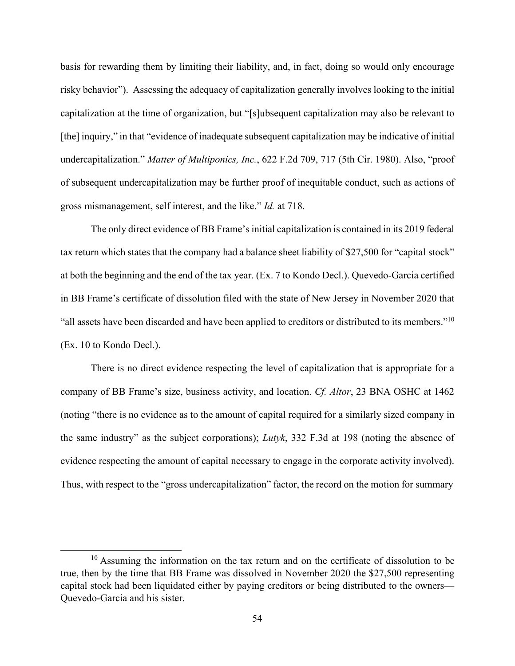basis for rewarding them by limiting their liability, and, in fact, doing so would only encourage risky behavior"). Assessing the adequacy of capitalization generally involves looking to the initial capitalization at the time of organization, but "[s]ubsequent capitalization may also be relevant to [the] inquiry," in that "evidence of inadequate subsequent capitalization may be indicative of initial undercapitalization." *Matter of Multiponics, Inc.*, 622 F.2d 709, 717 (5th Cir. 1980). Also, "proof of subsequent undercapitalization may be further proof of inequitable conduct, such as actions of gross mismanagement, self interest, and the like." *Id.* at 718.

The only direct evidence of BB Frame's initial capitalization is contained in its 2019 federal tax return which states that the company had a balance sheet liability of \$27,500 for "capital stock" at both the beginning and the end of the tax year. (Ex. 7 to Kondo Decl.). Quevedo-Garcia certified in BB Frame's certificate of dissolution filed with the state of New Jersey in November 2020 that "all assets have been discarded and have been applied to creditors or distributed to its members.["10](#page-55-0) (Ex. 10 to Kondo Decl.).

There is no direct evidence respecting the level of capitalization that is appropriate for a company of BB Frame's size, business activity, and location. *Cf. Altor*, 23 BNA OSHC at 1462 (noting "there is no evidence as to the amount of capital required for a similarly sized company in the same industry" as the subject corporations); *Lutyk*, 332 F.3d at 198 (noting the absence of evidence respecting the amount of capital necessary to engage in the corporate activity involved). Thus, with respect to the "gross undercapitalization" factor, the record on the motion for summary

<span id="page-55-0"></span> $10$  Assuming the information on the tax return and on the certificate of dissolution to be true, then by the time that BB Frame was dissolved in November 2020 the \$27,500 representing capital stock had been liquidated either by paying creditors or being distributed to the owners–– Quevedo-Garcia and his sister.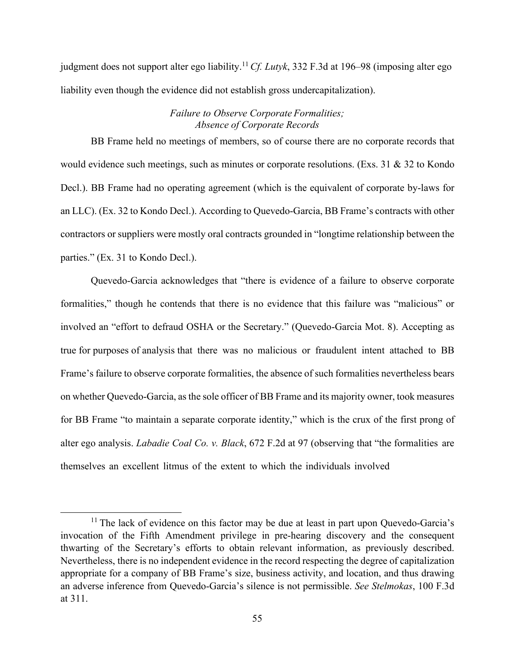judgment does not support alter ego liability[.11](#page-56-0)*Cf. Lutyk*, 332 F.3d at 196–98 (imposing alter ego liability even though the evidence did not establish gross undercapitalization).

## *Failure to Observe Corporate Formalities; Absence of Corporate Records*

BB Frame held no meetings of members, so of course there are no corporate records that would evidence such meetings, such as minutes or corporate resolutions. (Exs. 31 & 32 to Kondo Decl.). BB Frame had no operating agreement (which is the equivalent of corporate by-laws for an LLC). (Ex. 32 to Kondo Decl.). According to Quevedo-Garcia, BB Frame's contracts with other contractors or suppliers were mostly oral contracts grounded in "longtime relationship between the parties." (Ex. 31 to Kondo Decl.).

Quevedo-Garcia acknowledges that "there is evidence of a failure to observe corporate formalities," though he contends that there is no evidence that this failure was "malicious" or involved an "effort to defraud OSHA or the Secretary." (Quevedo-Garcia Mot. 8). Accepting as true for purposes of analysis that there was no malicious or fraudulent intent attached to BB Frame's failure to observe corporate formalities, the absence of such formalities nevertheless bears on whether Quevedo-Garcia, as the sole officer of BB Frame and its majority owner, took measures for BB Frame "to maintain a separate corporate identity," which is the crux of the first prong of alter ego analysis. *Labadie Coal Co. v. Black*, 672 F.2d at 97 (observing that "the formalities are themselves an excellent litmus of the extent to which the individuals involved

<span id="page-56-0"></span> $11$  The lack of evidence on this factor may be due at least in part upon Quevedo-Garcia's invocation of the Fifth Amendment privilege in pre-hearing discovery and the consequent thwarting of the Secretary's efforts to obtain relevant information, as previously described. Nevertheless, there is no independent evidence in the record respecting the degree of capitalization appropriate for a company of BB Frame's size, business activity, and location, and thus drawing an adverse inference from Quevedo-Garcia's silence is not permissible. *See Stelmokas*, 100 F.3d at 311.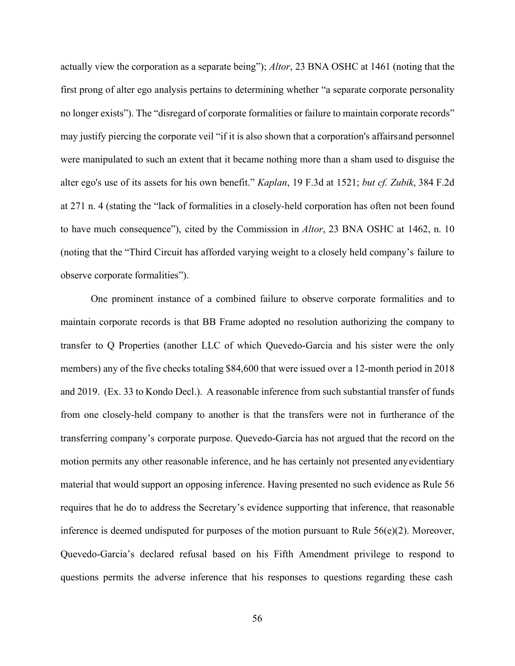actually view the corporation as a separate being"); *Altor*, 23 BNA OSHC at 1461 (noting that the first prong of alter ego analysis pertains to determining whether "a separate corporate personality no longer exists"). The "disregard of corporate formalities or failure to maintain corporate records" may justify piercing the corporate veil "if it is also shown that a corporation's affairsand personnel were manipulated to such an extent that it became nothing more than a sham used to disguise the alter ego's use of its assets for his own benefit." *Kaplan*, 19 F.3d at 1521; *but cf. Zubik*, 384 F.2d at 271 n. 4 (stating the "lack of formalities in a closely-held corporation has often not been found to have much consequence"), cited by the Commission in *Altor*, 23 BNA OSHC at 1462, n. 10 (noting that the "Third Circuit has afforded varying weight to a closely held company's failure to observe corporate formalities").

One prominent instance of a combined failure to observe corporate formalities and to maintain corporate records is that BB Frame adopted no resolution authorizing the company to transfer to Q Properties (another LLC of which Quevedo-Garcia and his sister were the only members) any of the five checks totaling \$84,600 that were issued over a 12-month period in 2018 and 2019. (Ex. 33 to Kondo Decl.). A reasonable inference from such substantial transfer of funds from one closely-held company to another is that the transfers were not in furtherance of the transferring company's corporate purpose. Quevedo-Garcia has not argued that the record on the motion permits any other reasonable inference, and he has certainly not presented anyevidentiary material that would support an opposing inference. Having presented no such evidence as Rule 56 requires that he do to address the Secretary's evidence supporting that inference, that reasonable inference is deemed undisputed for purposes of the motion pursuant to Rule  $56(e)(2)$ . Moreover, Quevedo-Garcia's declared refusal based on his Fifth Amendment privilege to respond to questions permits the adverse inference that his responses to questions regarding these cash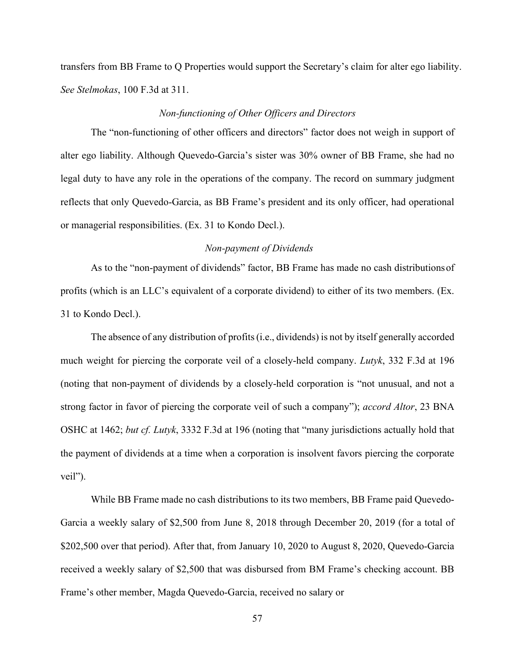transfers from BB Frame to Q Properties would support the Secretary's claim for alter ego liability. *See Stelmokas*, 100 F.3d at 311.

### *Non-functioning of Other Officers and Directors*

The "non-functioning of other officers and directors" factor does not weigh in support of alter ego liability. Although Quevedo-Garcia's sister was 30% owner of BB Frame, she had no legal duty to have any role in the operations of the company. The record on summary judgment reflects that only Quevedo-Garcia, as BB Frame's president and its only officer, had operational or managerial responsibilities. (Ex. 31 to Kondo Decl.).

### *Non-payment of Dividends*

As to the "non-payment of dividends" factor, BB Frame has made no cash distributionsof profits (which is an LLC's equivalent of a corporate dividend) to either of its two members. (Ex. 31 to Kondo Decl.).

The absence of any distribution of profits(i.e., dividends) is not by itself generally accorded much weight for piercing the corporate veil of a closely-held company. *Lutyk*, 332 F.3d at 196 (noting that non-payment of dividends by a closely-held corporation is "not unusual, and not a strong factor in favor of piercing the corporate veil of such a company"); *accord Altor*, 23 BNA OSHC at 1462; *but cf. Lutyk*, 3332 F.3d at 196 (noting that "many jurisdictions actually hold that the payment of dividends at a time when a corporation is insolvent favors piercing the corporate veil").

While BB Frame made no cash distributions to its two members, BB Frame paid Quevedo-Garcia a weekly salary of \$2,500 from June 8, 2018 through December 20, 2019 (for a total of \$202,500 over that period). After that, from January 10, 2020 to August 8, 2020, Quevedo-Garcia received a weekly salary of \$2,500 that was disbursed from BM Frame's checking account. BB Frame's other member, Magda Quevedo-Garcia, received no salary or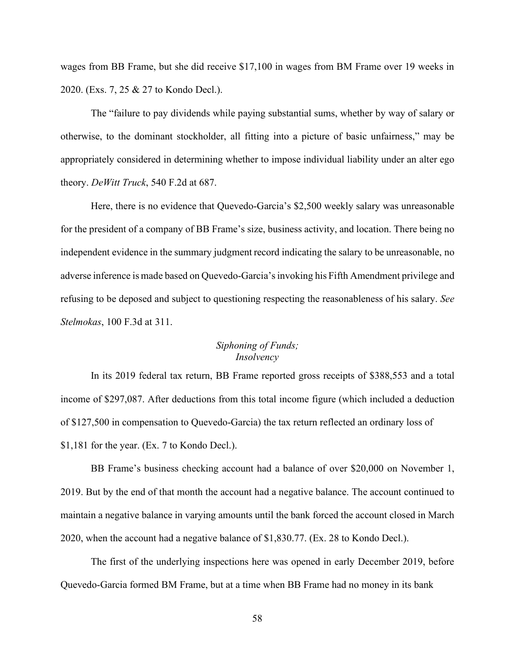wages from BB Frame, but she did receive \$17,100 in wages from BM Frame over 19 weeks in 2020. (Exs. 7, 25 & 27 to Kondo Decl.).

The "failure to pay dividends while paying substantial sums, whether by way of salary or otherwise, to the dominant stockholder, all fitting into a picture of basic unfairness," may be appropriately considered in determining whether to impose individual liability under an alter ego theory. *DeWitt Truck*, 540 F.2d at 687.

Here, there is no evidence that Quevedo-Garcia's \$2,500 weekly salary was unreasonable for the president of a company of BB Frame's size, business activity, and location. There being no independent evidence in the summary judgment record indicating the salary to be unreasonable, no adverse inference is made based on Quevedo-Garcia'sinvoking his Fifth Amendment privilege and refusing to be deposed and subject to questioning respecting the reasonableness of his salary. *See Stelmokas*, 100 F.3d at 311.

## *Siphoning of Funds; Insolvency*

In its 2019 federal tax return, BB Frame reported gross receipts of \$388,553 and a total income of \$297,087. After deductions from this total income figure (which included a deduction of \$127,500 in compensation to Quevedo-Garcia) the tax return reflected an ordinary loss of \$1,181 for the year. (Ex. 7 to Kondo Decl.).

BB Frame's business checking account had a balance of over \$20,000 on November 1, 2019. But by the end of that month the account had a negative balance. The account continued to maintain a negative balance in varying amounts until the bank forced the account closed in March 2020, when the account had a negative balance of \$1,830.77. (Ex. 28 to Kondo Decl.).

The first of the underlying inspections here was opened in early December 2019, before Quevedo-Garcia formed BM Frame, but at a time when BB Frame had no money in its bank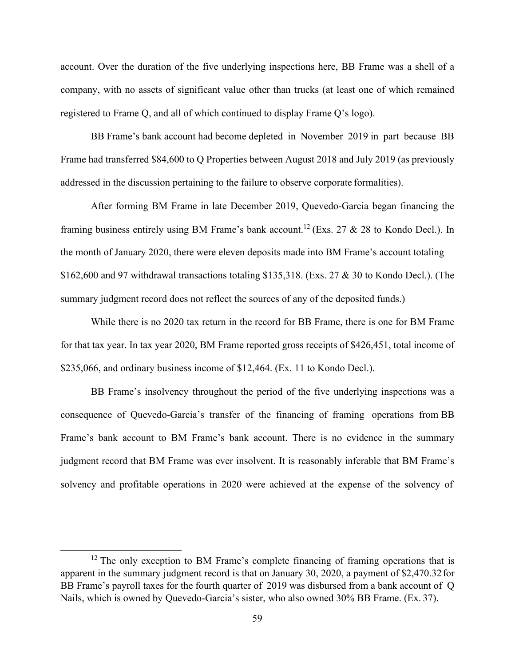account. Over the duration of the five underlying inspections here, BB Frame was a shell of a company, with no assets of significant value other than trucks (at least one of which remained registered to Frame Q, and all of which continued to display Frame Q's logo).

BB Frame's bank account had become depleted in November 2019 in part because BB Frame had transferred \$84,600 to Q Properties between August 2018 and July 2019 (as previously addressed in the discussion pertaining to the failure to observe corporate formalities).

After forming BM Frame in late December 2019, Quevedo-Garcia began financing the framing business entirely using BM Frame's bank account.<sup>12</sup> (Exs. 27 & 28 to Kondo Decl.). In the month of January 2020, there were eleven deposits made into BM Frame's account totaling \$162,600 and 97 withdrawal transactions totaling \$135,318. (Exs. 27 & 30 to Kondo Decl.). (The summary judgment record does not reflect the sources of any of the deposited funds.)

While there is no 2020 tax return in the record for BB Frame, there is one for BM Frame for that tax year. In tax year 2020, BM Frame reported gross receipts of \$426,451, total income of \$235,066, and ordinary business income of \$12,464. (Ex. 11 to Kondo Decl.).

BB Frame's insolvency throughout the period of the five underlying inspections was a consequence of Quevedo-Garcia's transfer of the financing of framing operations from BB Frame's bank account to BM Frame's bank account. There is no evidence in the summary judgment record that BM Frame was ever insolvent. It is reasonably inferable that BM Frame's solvency and profitable operations in 2020 were achieved at the expense of the solvency of

<span id="page-60-0"></span> $12$  The only exception to BM Frame's complete financing of framing operations that is apparent in the summary judgment record is that on January 30, 2020, a payment of \$2,470.32for BB Frame's payroll taxes for the fourth quarter of 2019 was disbursed from a bank account of Q Nails, which is owned by Quevedo-Garcia's sister, who also owned 30% BB Frame. (Ex. 37).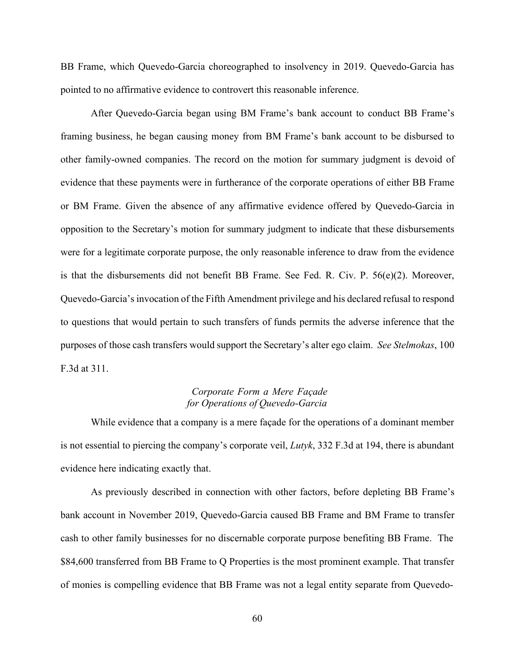BB Frame, which Quevedo-Garcia choreographed to insolvency in 2019. Quevedo-Garcia has pointed to no affirmative evidence to controvert this reasonable inference.

After Quevedo-Garcia began using BM Frame's bank account to conduct BB Frame's framing business, he began causing money from BM Frame's bank account to be disbursed to other family-owned companies. The record on the motion for summary judgment is devoid of evidence that these payments were in furtherance of the corporate operations of either BB Frame or BM Frame. Given the absence of any affirmative evidence offered by Quevedo-Garcia in opposition to the Secretary's motion for summary judgment to indicate that these disbursements were for a legitimate corporate purpose, the only reasonable inference to draw from the evidence is that the disbursements did not benefit BB Frame. See Fed. R. Civ. P. 56(e)(2). Moreover, Quevedo-Garcia'sinvocation of the Fifth Amendment privilege and his declared refusal to respond to questions that would pertain to such transfers of funds permits the adverse inference that the purposes of those cash transfers would support the Secretary's alter ego claim. *See Stelmokas*, 100 F.3d at 311.

# *Corporate Form a Mere Façade for Operations of Quevedo-Garcia*

While evidence that a company is a mere façade for the operations of a dominant member is not essential to piercing the company's corporate veil, *Lutyk*, 332 F.3d at 194, there is abundant evidence here indicating exactly that.

As previously described in connection with other factors, before depleting BB Frame's bank account in November 2019, Quevedo-Garcia caused BB Frame and BM Frame to transfer cash to other family businesses for no discernable corporate purpose benefiting BB Frame. The \$84,600 transferred from BB Frame to Q Properties is the most prominent example. That transfer of monies is compelling evidence that BB Frame was not a legal entity separate from Quevedo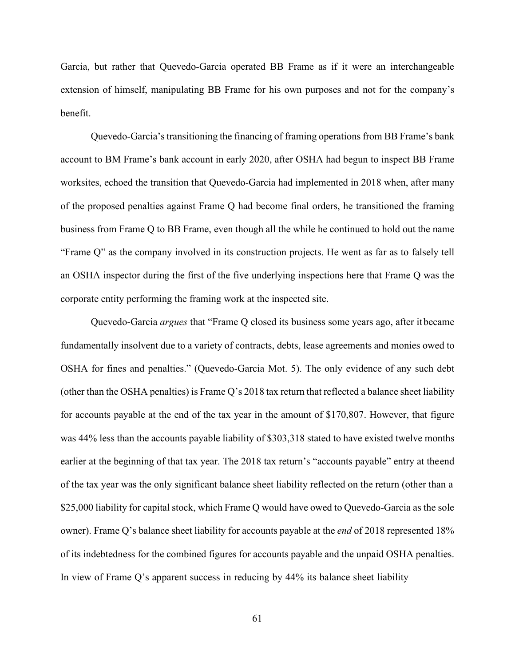Garcia, but rather that Quevedo-Garcia operated BB Frame as if it were an interchangeable extension of himself, manipulating BB Frame for his own purposes and not for the company's benefit.

Quevedo-Garcia's transitioning the financing of framing operations from BB Frame's bank account to BM Frame's bank account in early 2020, after OSHA had begun to inspect BB Frame worksites, echoed the transition that Quevedo-Garcia had implemented in 2018 when, after many of the proposed penalties against Frame Q had become final orders, he transitioned the framing business from Frame Q to BB Frame, even though all the while he continued to hold out the name "Frame Q" as the company involved in its construction projects. He went as far as to falsely tell an OSHA inspector during the first of the five underlying inspections here that Frame Q was the corporate entity performing the framing work at the inspected site.

Quevedo-Garcia *argues* that "Frame Q closed its business some years ago, after itbecame fundamentally insolvent due to a variety of contracts, debts, lease agreements and monies owed to OSHA for fines and penalties." (Quevedo-Garcia Mot. 5). The only evidence of any such debt (other than the OSHA penalties) is Frame Q's 2018 tax return that reflected a balance sheet liability for accounts payable at the end of the tax year in the amount of \$170,807. However, that figure was 44% less than the accounts payable liability of \$303,318 stated to have existed twelve months earlier at the beginning of that tax year. The 2018 tax return's "accounts payable" entry at theend of the tax year was the only significant balance sheet liability reflected on the return (other than a \$25,000 liability for capital stock, which Frame Q would have owed to Quevedo-Garcia as the sole owner). Frame Q's balance sheet liability for accounts payable at the *end* of 2018 represented 18% of its indebtedness for the combined figures for accounts payable and the unpaid OSHA penalties. In view of Frame Q's apparent success in reducing by 44% its balance sheet liability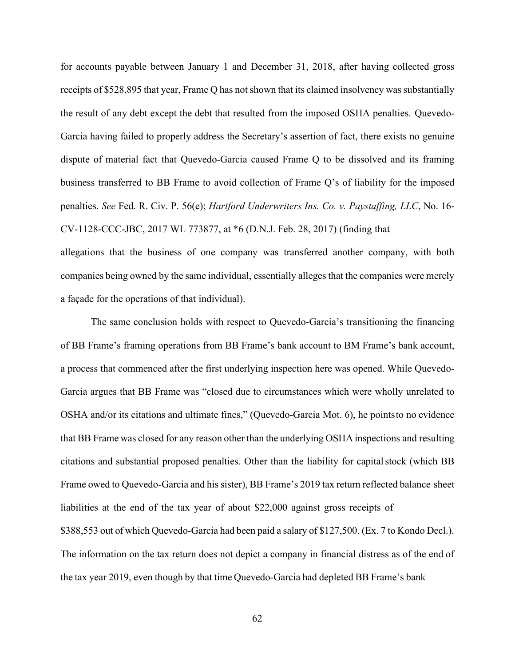for accounts payable between January 1 and December 31, 2018, after having collected gross receipts of \$528,895 that year, Frame Q has not shown that its claimed insolvency was substantially the result of any debt except the debt that resulted from the imposed OSHA penalties. Quevedo-Garcia having failed to properly address the Secretary's assertion of fact, there exists no genuine dispute of material fact that Quevedo-Garcia caused Frame Q to be dissolved and its framing business transferred to BB Frame to avoid collection of Frame Q's of liability for the imposed penalties. *See* Fed. R. Civ. P. 56(e); *Hartford Underwriters Ins. Co. v. Paystaffing, LLC*, No. 16- CV-1128-CCC-JBC, 2017 WL 773877, at \*6 (D.N.J. Feb. 28, 2017) (finding that

allegations that the business of one company was transferred another company, with both companies being owned by the same individual, essentially alleges that the companies were merely a façade for the operations of that individual).

The same conclusion holds with respect to Quevedo-Garcia's transitioning the financing of BB Frame's framing operations from BB Frame's bank account to BM Frame's bank account, a process that commenced after the first underlying inspection here was opened. While Quevedo-Garcia argues that BB Frame was "closed due to circumstances which were wholly unrelated to OSHA and/or its citations and ultimate fines," (Quevedo-Garcia Mot. 6), he pointsto no evidence that BB Frame was closed for any reason other than the underlying OSHA inspections and resulting citations and substantial proposed penalties. Other than the liability for capitalstock (which BB Frame owed to Quevedo-Garcia and his sister), BB Frame's 2019 tax return reflected balance sheet liabilities at the end of the tax year of about \$22,000 against gross receipts of \$388,553 out of which Quevedo-Garcia had been paid a salary of \$127,500. (Ex. 7 to Kondo Decl.). The information on the tax return does not depict a company in financial distress as of the end of the tax year 2019, even though by that time Quevedo-Garcia had depleted BB Frame's bank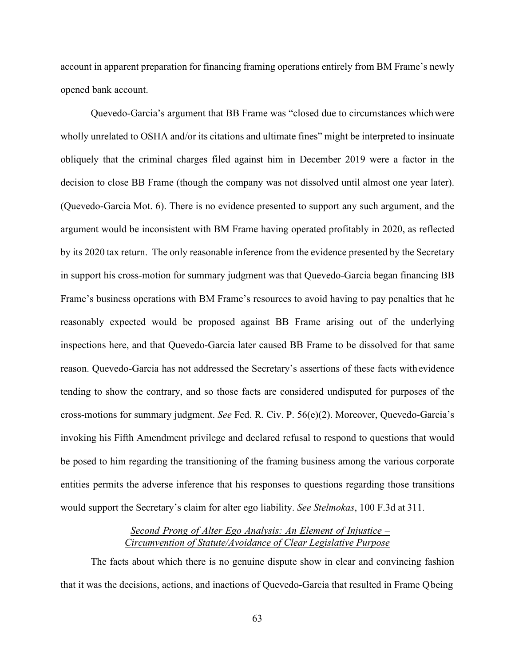account in apparent preparation for financing framing operations entirely from BM Frame's newly opened bank account.

Quevedo-Garcia's argument that BB Frame was "closed due to circumstances whichwere wholly unrelated to OSHA and/or its citations and ultimate fines" might be interpreted to insinuate obliquely that the criminal charges filed against him in December 2019 were a factor in the decision to close BB Frame (though the company was not dissolved until almost one year later). (Quevedo-Garcia Mot. 6). There is no evidence presented to support any such argument, and the argument would be inconsistent with BM Frame having operated profitably in 2020, as reflected by its 2020 tax return. The only reasonable inference from the evidence presented by the Secretary in support his cross-motion for summary judgment was that Quevedo-Garcia began financing BB Frame's business operations with BM Frame's resources to avoid having to pay penalties that he reasonably expected would be proposed against BB Frame arising out of the underlying inspections here, and that Quevedo-Garcia later caused BB Frame to be dissolved for that same reason. Quevedo-Garcia has not addressed the Secretary's assertions of these facts withevidence tending to show the contrary, and so those facts are considered undisputed for purposes of the cross-motions for summary judgment. *See* Fed. R. Civ. P. 56(e)(2). Moreover, Quevedo-Garcia's invoking his Fifth Amendment privilege and declared refusal to respond to questions that would be posed to him regarding the transitioning of the framing business among the various corporate entities permits the adverse inference that his responses to questions regarding those transitions would support the Secretary's claim for alter ego liability. *See Stelmokas*, 100 F.3d at 311.

# *Second Prong of Alter Ego Analysis: An Element of Injustice – Circumvention of Statute/Avoidance of Clear Legislative Purpose*

The facts about which there is no genuine dispute show in clear and convincing fashion that it was the decisions, actions, and inactions of Quevedo-Garcia that resulted in Frame Qbeing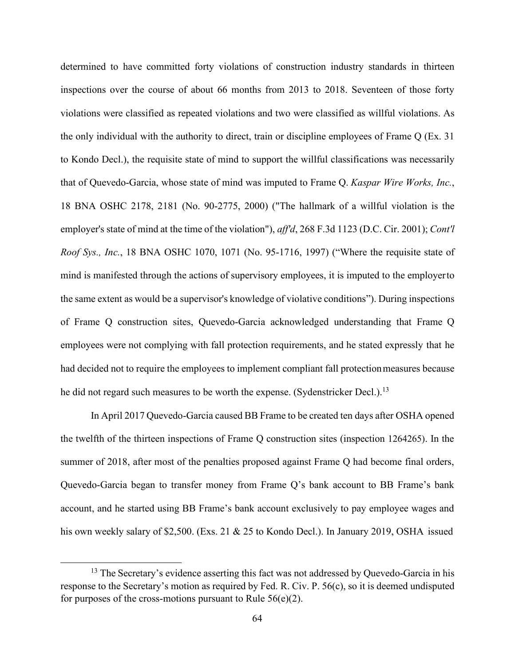determined to have committed forty violations of construction industry standards in thirteen inspections over the course of about 66 months from 2013 to 2018. Seventeen of those forty violations were classified as repeated violations and two were classified as willful violations. As the only individual with the authority to direct, train or discipline employees of Frame Q (Ex. 31 to Kondo Decl.), the requisite state of mind to support the willful classifications was necessarily that of Quevedo-Garcia, whose state of mind was imputed to Frame Q. *Kaspar Wire Works, Inc.*, 18 BNA OSHC 2178, 2181 (No. 90-2775, 2000) ("The hallmark of a willful violation is the employer's state of mind at the time of the violation"), *aff'd*, 268 F.3d 1123 (D.C. Cir. 2001); *Cont'l Roof Sys., Inc.*, 18 BNA OSHC 1070, 1071 (No. 95-1716, 1997) ("Where the requisite state of mind is manifested through the actions of supervisory employees, it is imputed to the employerto the same extent as would be a supervisor's knowledge of violative conditions"). During inspections of Frame Q construction sites, Quevedo-Garcia acknowledged understanding that Frame Q employees were not complying with fall protection requirements, and he stated expressly that he had decided not to require the employees to implement compliant fall protection measures because he did not regard such measures to be worth the expense. (Sydenstricker Decl.).<sup>13</sup>

In April 2017 Quevedo-Garcia caused BB Frame to be created ten days after OSHA opened the twelfth of the thirteen inspections of Frame Q construction sites (inspection 1264265). In the summer of 2018, after most of the penalties proposed against Frame Q had become final orders, Quevedo-Garcia began to transfer money from Frame Q's bank account to BB Frame's bank account, and he started using BB Frame's bank account exclusively to pay employee wages and his own weekly salary of \$2,500. (Exs. 21 & 25 to Kondo Decl.). In January 2019, OSHA issued

<span id="page-65-0"></span><sup>&</sup>lt;sup>13</sup> The Secretary's evidence asserting this fact was not addressed by Quevedo-Garcia in his response to the Secretary's motion as required by Fed. R. Civ. P. 56(c), so it is deemed undisputed for purposes of the cross-motions pursuant to Rule  $56(e)(2)$ .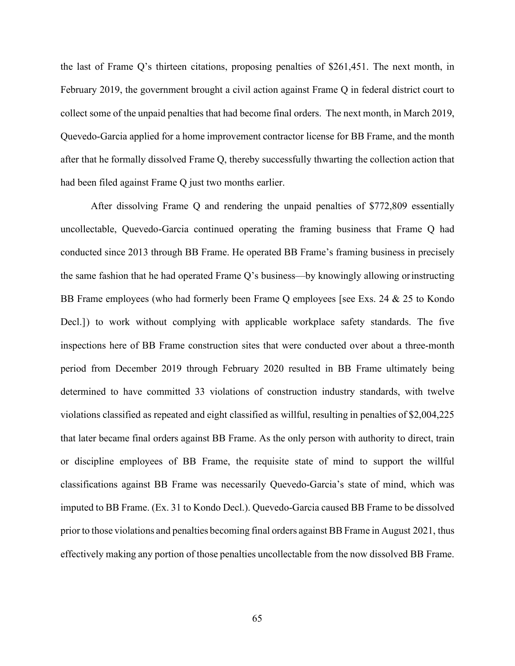the last of Frame Q's thirteen citations, proposing penalties of \$261,451. The next month, in February 2019, the government brought a civil action against Frame Q in federal district court to collect some of the unpaid penalties that had become final orders. The next month, in March 2019, Quevedo-Garcia applied for a home improvement contractor license for BB Frame, and the month after that he formally dissolved Frame Q, thereby successfully thwarting the collection action that had been filed against Frame Q just two months earlier.

After dissolving Frame Q and rendering the unpaid penalties of \$772,809 essentially uncollectable, Quevedo-Garcia continued operating the framing business that Frame Q had conducted since 2013 through BB Frame. He operated BB Frame's framing business in precisely the same fashion that he had operated Frame Q's business––by knowingly allowing orinstructing BB Frame employees (who had formerly been Frame Q employees [see Exs. 24 & 25 to Kondo Decl.] ) to work without complying with applicable workplace safety standards. The five inspections here of BB Frame construction sites that were conducted over about a three-month period from December 2019 through February 2020 resulted in BB Frame ultimately being determined to have committed 33 violations of construction industry standards, with twelve violations classified as repeated and eight classified as willful, resulting in penalties of \$2,004,225 that later became final orders against BB Frame. As the only person with authority to direct, train or discipline employees of BB Frame, the requisite state of mind to support the willful classifications against BB Frame was necessarily Quevedo-Garcia's state of mind, which was imputed to BB Frame. (Ex. 31 to Kondo Decl.). Quevedo-Garcia caused BB Frame to be dissolved prior to those violations and penalties becoming final orders against BB Frame in August 2021, thus effectively making any portion of those penalties uncollectable from the now dissolved BB Frame.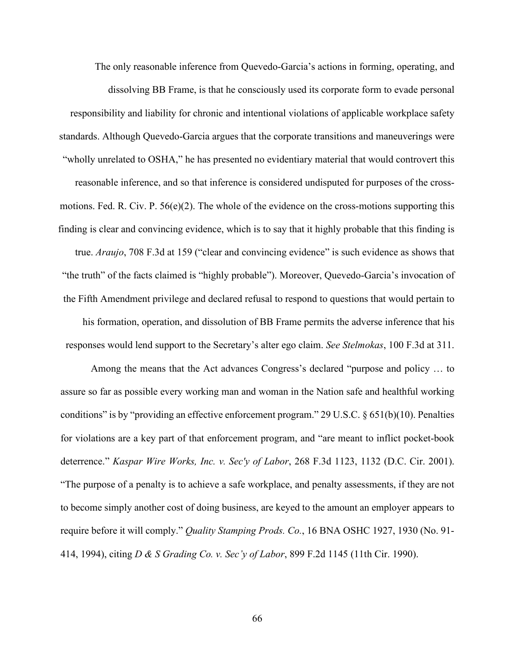The only reasonable inference from Quevedo-Garcia's actions in forming, operating, and dissolving BB Frame, is that he consciously used its corporate form to evade personal responsibility and liability for chronic and intentional violations of applicable workplace safety standards. Although Quevedo-Garcia argues that the corporate transitions and maneuverings were "wholly unrelated to OSHA," he has presented no evidentiary material that would controvert this reasonable inference, and so that inference is considered undisputed for purposes of the crossmotions. Fed. R. Civ. P.  $56(e)(2)$ . The whole of the evidence on the cross-motions supporting this finding is clear and convincing evidence, which is to say that it highly probable that this finding is true. *Araujo*, 708 F.3d at 159 ("clear and convincing evidence" is such evidence as shows that "the truth" of the facts claimed is "highly probable"). Moreover, Quevedo-Garcia's invocation of the Fifth Amendment privilege and declared refusal to respond to questions that would pertain to his formation, operation, and dissolution of BB Frame permits the adverse inference that his responses would lend support to the Secretary's alter ego claim. *See Stelmokas*, 100 F.3d at 311.

Among the means that the Act advances Congress's declared "purpose and policy … to assure so far as possible every working man and woman in the Nation safe and healthful working conditions" is by "providing an effective enforcement program." 29 U.S.C. § 651(b)(10). Penalties for violations are a key part of that enforcement program, and "are meant to inflict pocket-book deterrence." *Kaspar Wire Works, Inc. v. Sec'y of Labor*, 268 F.3d 1123, 1132 (D.C. Cir. 2001). "The purpose of a penalty is to achieve a safe workplace, and penalty assessments, if they are not to become simply another cost of doing business, are keyed to the amount an employer appears to require before it will comply." *Quality Stamping Prods. Co.*, 16 BNA OSHC 1927, 1930 (No. 91- 414, 1994), citing *D & S Grading Co. v. Sec'y of Labor*, 899 F.2d 1145 (11th Cir. 1990).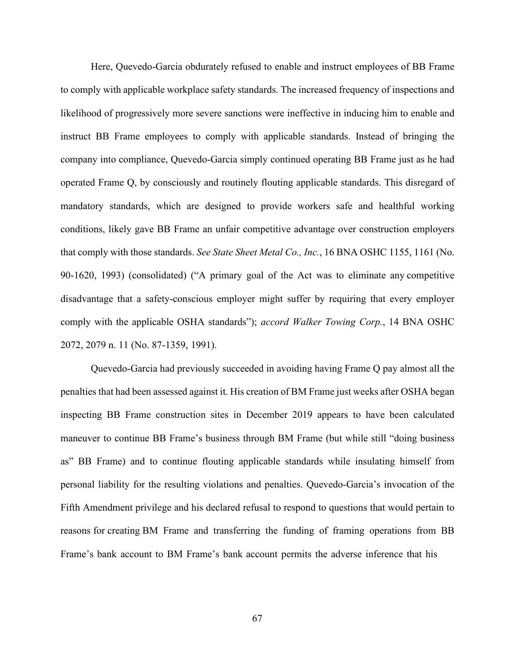Here, Quevedo-Garcia obdurately refused to enable and instruct employees of BB Frame to comply with applicable workplace safety standards. The increased frequency of inspections and likelihood of progressively more severe sanctions were ineffective in inducing him to enable and instruct BB Frame employees to comply with applicable standards. Instead of bringing the company into compliance, Quevedo-Garcia simply continued operating BB Frame just as he had operated Frame Q, by consciously and routinely flouting applicable standards. This disregard of mandatory standards, which are designed to provide workers safe and healthful working conditions, likely gave BB Frame an unfair competitive advantage over construction employers that comply with those standards. *See State Sheet Metal Co., Inc.*, 16 BNA OSHC 1155, 1161 (No. 90-1620, 1993) (consolidated) ("A primary goal of the Act was to eliminate any competitive disadvantage that a safety-conscious employer might suffer by requiring that every employer comply with the applicable OSHA standards"); *accord Walker Towing Corp.*, 14 BNA OSHC 2072, 2079 n. 11 (No. 87-1359, 1991).

Quevedo-Garcia had previously succeeded in avoiding having Frame Q pay almost all the penalties that had been assessed against it. His creation of BM Frame just weeks after OSHA began inspecting BB Frame construction sites in December 2019 appears to have been calculated maneuver to continue BB Frame's business through BM Frame (but while still "doing business as" BB Frame) and to continue flouting applicable standards while insulating himself from personal liability for the resulting violations and penalties. Quevedo-Garcia's invocation of the Fifth Amendment privilege and his declared refusal to respond to questions that would pertain to reasons for creating BM Frame and transferring the funding of framing operations from BB Frame's bank account to BM Frame's bank account permits the adverse inference that his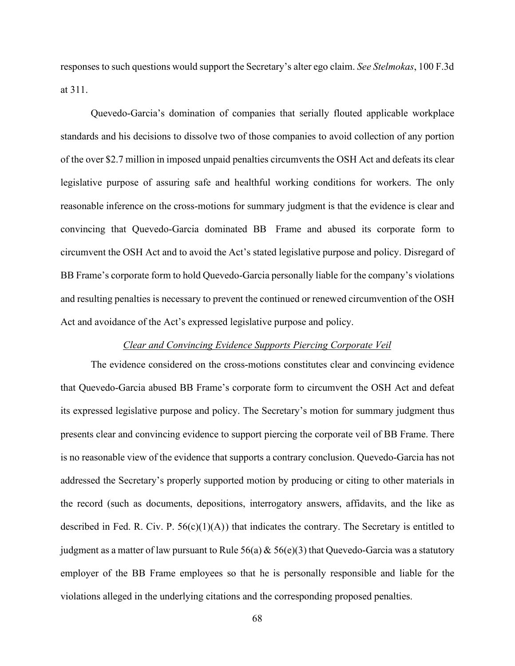responses to such questions would support the Secretary's alter ego claim. *See Stelmokas*, 100 F.3d at 311.

Quevedo-Garcia's domination of companies that serially flouted applicable workplace standards and his decisions to dissolve two of those companies to avoid collection of any portion of the over \$2.7 million in imposed unpaid penalties circumvents the OSH Act and defeats its clear legislative purpose of assuring safe and healthful working conditions for workers. The only reasonable inference on the cross-motions for summary judgment is that the evidence is clear and convincing that Quevedo-Garcia dominated BB Frame and abused its corporate form to circumvent the OSH Act and to avoid the Act's stated legislative purpose and policy. Disregard of BB Frame's corporate form to hold Quevedo-Garcia personally liable for the company's violations and resulting penalties is necessary to prevent the continued or renewed circumvention of the OSH Act and avoidance of the Act's expressed legislative purpose and policy.

### *Clear and Convincing Evidence Supports Piercing Corporate Veil*

The evidence considered on the cross-motions constitutes clear and convincing evidence that Quevedo-Garcia abused BB Frame's corporate form to circumvent the OSH Act and defeat its expressed legislative purpose and policy. The Secretary's motion for summary judgment thus presents clear and convincing evidence to support piercing the corporate veil of BB Frame. There is no reasonable view of the evidence that supports a contrary conclusion. Quevedo-Garcia has not addressed the Secretary's properly supported motion by producing or citing to other materials in the record (such as documents, depositions, interrogatory answers, affidavits, and the like as described in Fed. R. Civ. P.  $56(c)(1)(A)$  that indicates the contrary. The Secretary is entitled to judgment as a matter of law pursuant to Rule  $56(a) \& 56(e)(3)$  that Quevedo-Garcia was a statutory employer of the BB Frame employees so that he is personally responsible and liable for the violations alleged in the underlying citations and the corresponding proposed penalties.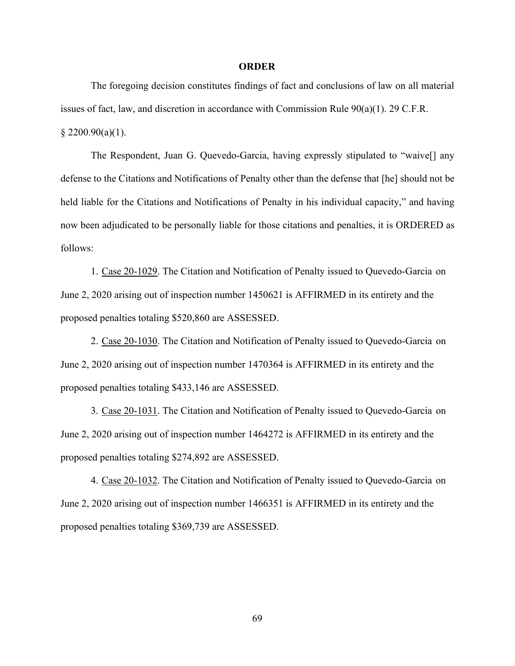### **ORDER**

The foregoing decision constitutes findings of fact and conclusions of law on all material issues of fact, law, and discretion in accordance with Commission Rule 90(a)(1). 29 C.F.R.  $$2200.90(a)(1).$ 

The Respondent, Juan G. Quevedo-Garcia, having expressly stipulated to "waive[] any defense to the Citations and Notifications of Penalty other than the defense that [he] should not be held liable for the Citations and Notifications of Penalty in his individual capacity," and having now been adjudicated to be personally liable for those citations and penalties, it is ORDERED as follows:

1. Case 20-1029. The Citation and Notification of Penalty issued to Quevedo-Garcia on June 2, 2020 arising out of inspection number 1450621 is AFFIRMED in its entirety and the proposed penalties totaling \$520,860 are ASSESSED.

2. Case 20-1030. The Citation and Notification of Penalty issued to Quevedo-Garcia on June 2, 2020 arising out of inspection number 1470364 is AFFIRMED in its entirety and the proposed penalties totaling \$433,146 are ASSESSED.

3. Case 20-1031. The Citation and Notification of Penalty issued to Quevedo-Garcia on June 2, 2020 arising out of inspection number 1464272 is AFFIRMED in its entirety and the proposed penalties totaling \$274,892 are ASSESSED.

4. Case 20-1032. The Citation and Notification of Penalty issued to Quevedo-Garcia on June 2, 2020 arising out of inspection number 1466351 is AFFIRMED in its entirety and the proposed penalties totaling \$369,739 are ASSESSED.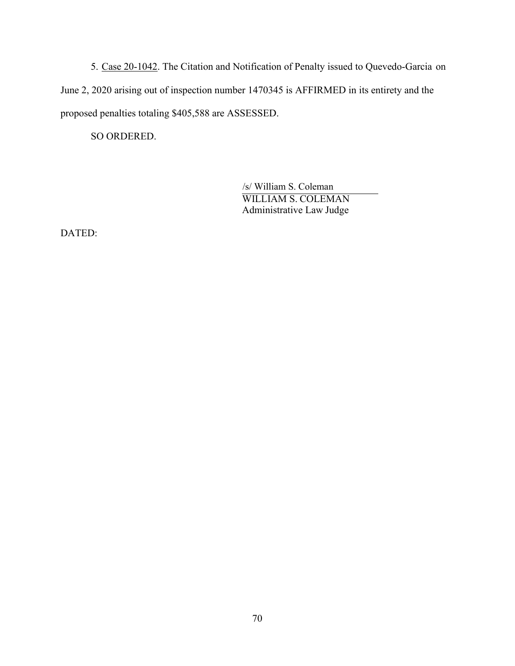5. Case 20-1042. The Citation and Notification of Penalty issued to Quevedo-Garcia on June 2, 2020 arising out of inspection number 1470345 is AFFIRMED in its entirety and the proposed penalties totaling \$405,588 are ASSESSED.

SO ORDERED.

 /s/ William S. Coleman WILLIAM S. COLEMAN Administrative Law Judge

DATED: